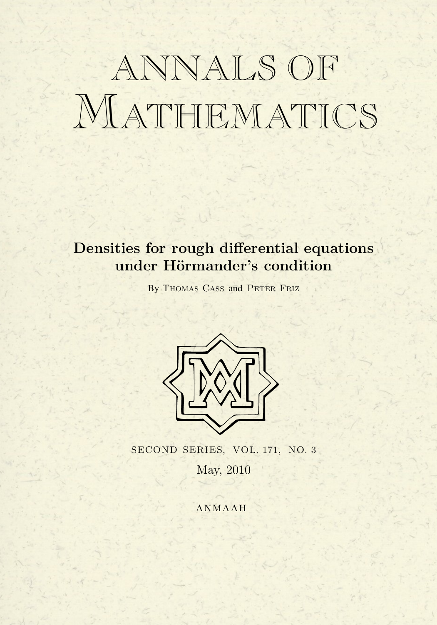# ANNALS OF MATHEMATICS

## **Densities for rough differential equations** under Hörmander's condition

By THOMAS CASS and PETER FRIZ



SECOND SERIES, VOL. 171, NO. 3 May, 2010

**ANMAAH**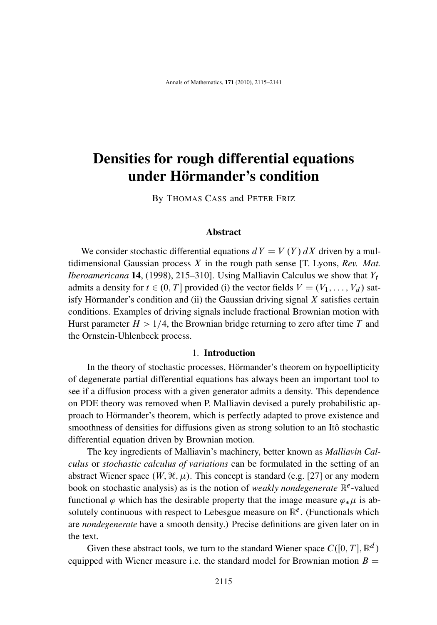### Densities for rough differential equations under Hörmander's condition

By THOMAS CASS and PETER FRIZ

#### Abstract

We consider stochastic differential equations  $dY = V(Y) dX$  driven by a multidimensional Gaussian process X in the rough path sense [T. Lyons, *Rev. Mat. Iberoamericana* **14**, (1998), 215–310]. Using Malliavin Calculus we show that  $Y_t$ admits a density for  $t \in (0, T]$  provided (i) the vector fields  $V = (V_1, \ldots, V_d)$  satisfy Hörmander's condition and (ii) the Gaussian driving signal  $X$  satisfies certain conditions. Examples of driving signals include fractional Brownian motion with Hurst parameter  $H > 1/4$ , the Brownian bridge returning to zero after time T and the Ornstein-Uhlenbeck process.

#### 1. Introduction

In the theory of stochastic processes, Hörmander's theorem on hypoellipticity of degenerate partial differential equations has always been an important tool to see if a diffusion process with a given generator admits a density. This dependence on PDE theory was removed when P. Malliavin devised a purely probabilistic approach to Hörmander's theorem, which is perfectly adapted to prove existence and smoothness of densities for diffusions given as strong solution to an Itô stochastic differential equation driven by Brownian motion.

The key ingredients of Malliavin's machinery, better known as *Malliavin Calculus* or *stochastic calculus of variations* can be formulated in the setting of an abstract Wiener space  $(W, \mathcal{H}, \mu)$ . This concept is standard (e.g. [27] or any modern book on stochastic analysis) as is the notion of *weakly nondegenerate*  $\mathbb{R}^e$ -valued functional  $\varphi$  which has the desirable property that the image measure  $\varphi_*\mu$  is absolutely continuous with respect to Lebesgue measure on  $\mathbb{R}^e$ . (Functionals which are *nondegenerate* have a smooth density.) Precise definitions are given later on in the text.

Given these abstract tools, we turn to the standard Wiener space  $C([0, T], \mathbb{R}^d)$ equipped with Wiener measure i.e. the standard model for Brownian motion  $B =$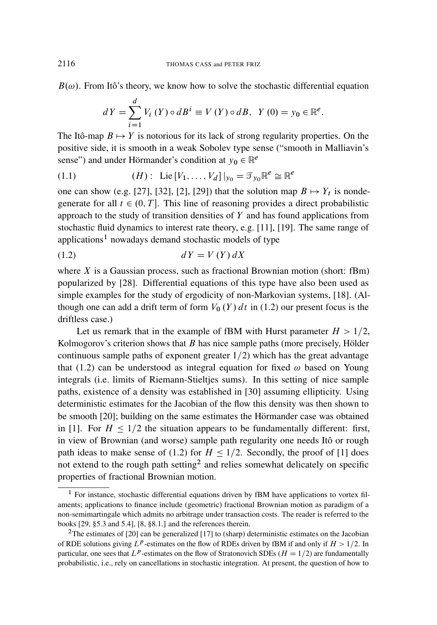$B(\omega)$ . From Itô's theory, we know how to solve the stochastic differential equation

$$
dY = \sum_{i=1}^{d} V_i(Y) \circ dB^i \equiv V(Y) \circ dB, \ \ Y(0) = y_0 \in \mathbb{R}^e.
$$

The Itô-map  $B \mapsto Y$  is notorious for its lack of strong regularity properties. On the positive side, it is smooth in a weak Sobolev type sense ("smooth in Malliavin's sense") and under Hörmander's condition at  $y_0 \in \mathbb{R}^e$ 

(1.1) 
$$
(H): \text{ Lie } [V_1, \ldots, V_d] |_{y_0} = \mathcal{T}_{y_0} \mathbb{R}^e \cong \mathbb{R}^e
$$

one can show (e.g. [27], [32], [2], [29]) that the solution map  $B \mapsto Y_t$  is nondegenerate for all  $t \in (0, T]$ . This line of reasoning provides a direct probabilistic approach to the study of transition densities of  $Y$  and has found applications from stochastic fluid dynamics to interest rate theory, e.g. [11], [19]. The same range of applications<sup>1</sup> nowadays demand stochastic models of type

$$
(1.2) \t dY = V(Y) dX
$$

where  $X$  is a Gaussian process, such as fractional Brownian motion (short: fBm) popularized by [28]. Differential equations of this type have also been used as simple examples for the study of ergodicity of non-Markovian systems, [18]. (Although one can add a drift term of form  $V_0(Y) dt$  in (1.2) our present focus is the driftless case.)

Let us remark that in the example of fBM with Hurst parameter  $H > 1/2$ , Kolmogorov's criterion shows that  $B$  has nice sample paths (more precisely, Hölder continuous sample paths of exponent greater  $1/2$ ) which has the great advantage that (1.2) can be understood as integral equation for fixed  $\omega$  based on Young integrals (i.e. limits of Riemann-Stieltjes sums). In this setting of nice sample paths, existence of a density was established in [30] assuming ellipticity. Using deterministic estimates for the Jacobian of the flow this density was then shown to be smooth [20]; building on the same estimates the Hörmander case was obtained in [1]. For  $H \leq 1/2$  the situation appears to be fundamentally different: first, in view of Brownian (and worse) sample path regularity one needs Itô or rough path ideas to make sense of (1.2) for  $H \leq 1/2$ . Secondly, the proof of [1] does not extend to the rough path setting<sup>2</sup> and relies somewhat delicately on specific properties of fractional Brownian motion.

<sup>&</sup>lt;sup>1</sup> For instance, stochastic differential equations driven by fBM have applications to vortex filaments; applications to finance include (geometric) fractional Brownian motion as paradigm of a non-semimartingale which admits no arbitrage under transaction costs. The reader is referred to the books [29, §5.3 and 5.4], [8, §8.1.] and the references therein.

<sup>2</sup>The estimates of [20] can be generalized [17] to (sharp) deterministic estimates on the Jacobian of RDE solutions giving  $L^p$ -estimates on the flow of RDEs driven by fBM if and only if  $H > 1/2$ . In particular, one sees that  $L^p$ -estimates on the flow of Stratonovich SDEs ( $H = 1/2$ ) are fundamentally probabilistic, i.e., rely on cancellations in stochastic integration. At present, the question of how to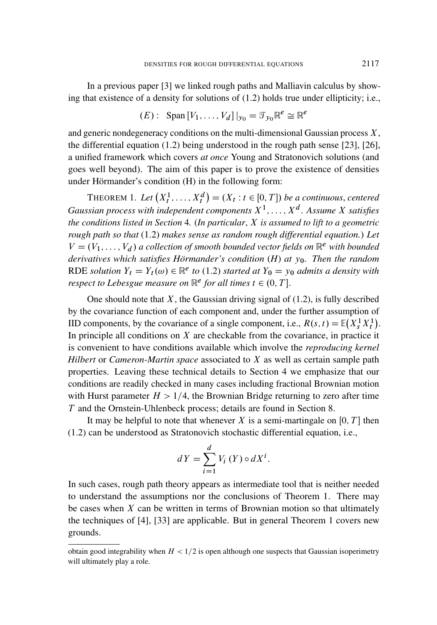In a previous paper [3] we linked rough paths and Malliavin calculus by showing that existence of a density for solutions of (1.2) holds true under ellipticity; i.e.,

$$
(E): \text{Span}\left[V_1,\ldots,V_d\right]|_{y_0} = \mathcal{T}_{y_0} \mathbb{R}^e \cong \mathbb{R}^e
$$

and generic nondegeneracy conditions on the multi-dimensional Gaussian process  $X$ , the differential equation (1.2) being understood in the rough path sense [23], [26], a unified framework which covers *at once* Young and Stratonovich solutions (and goes well beyond). The aim of this paper is to prove the existence of densities under Hörmander's condition  $(H)$  in the following form:

**THEOREM 1.** Let  $(X_t^1, \ldots, X_t^d) = (X_t : t \in [0, T])$  be a continuous, centered Gaussian process with independent components  $X^1, \ldots, X^d$ . Assume X satisfies *the conditions listed in Section* 4*.* (*In particular*, X *is assumed to lift to a geometric rough path so that* (1.2) *makes sense as random rough differential equation.*) *Let*  $V = (V_1, \ldots, V_d)$  a collection of smooth bounded vector fields on  $\mathbb{R}^e$  with bounded *derivatives which satisfies Hörmander's condition* (*H*) *at*  $y_0$ *. Then the random* RDE *solution*  $Y_t = Y_t(\omega) \in \mathbb{R}^e$  to (1.2) *started at*  $Y_0 = y_0$  *admits a density with respect to Lebesgue measure on*  $\mathbb{R}^e$  *for all times*  $t \in (0, T]$ .

One should note that  $X$ , the Gaussian driving signal of (1.2), is fully described by the covariance function of each component and, under the further assumption of IID components, by the covariance of a single component, i.e.,  $R(s, t) = \mathbb{E}(X_s^1 X_t^1)$ . In principle all conditions on  $X$  are checkable from the covariance, in practice it is convenient to have conditions available which involve the *reproducing kernel Hilbert* or *Cameron-Martin space* associated to X as well as certain sample path properties. Leaving these technical details to Section 4 we emphasize that our conditions are readily checked in many cases including fractional Brownian motion with Hurst parameter  $H > 1/4$ , the Brownian Bridge returning to zero after time T and the Ornstein-Uhlenbeck process; details are found in Section 8.

It may be helpful to note that whenever X is a semi-martingale on [0, T] then (1.2) can be understood as Stratonovich stochastic differential equation, i.e.,

$$
dY = \sum_{i=1}^{d} V_i(Y) \circ dX^i.
$$

In such cases, rough path theory appears as intermediate tool that is neither needed to understand the assumptions nor the conclusions of Theorem 1. There may be cases when  $X$  can be written in terms of Brownian motion so that ultimately the techniques of [4], [33] are applicable. But in general Theorem 1 covers new grounds.

obtain good integrability when  $H < 1/2$  is open although one suspects that Gaussian isoperimetry will ultimately play a role.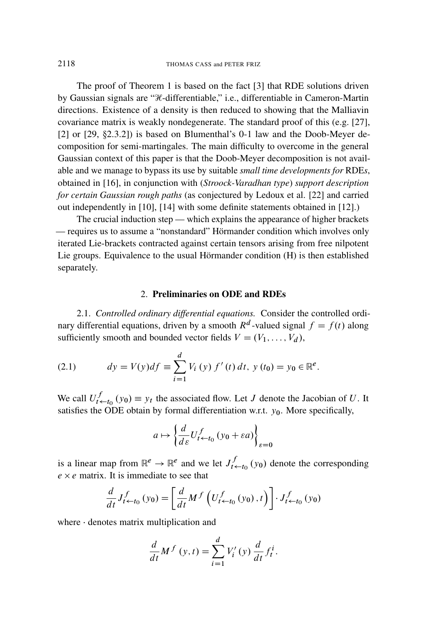The proof of Theorem 1 is based on the fact [3] that RDE solutions driven by Gaussian signals are "H-differentiable," i.e., differentiable in Cameron-Martin directions. Existence of a density is then reduced to showing that the Malliavin covariance matrix is weakly nondegenerate. The standard proof of this (e.g. [27], [2] or  $[29, §2.3.2]$  is based on Blumenthal's 0-1 law and the Doob-Meyer decomposition for semi-martingales. The main difficulty to overcome in the general Gaussian context of this paper is that the Doob-Meyer decomposition is not available and we manage to bypass its use by suitable *small time developments for* RDE*s*, obtained in [16], in conjunction with (*Stroock-Varadhan type*) *support description for certain Gaussian rough paths* (as conjectured by Ledoux et al. [22] and carried out independently in [10], [14] with some definite statements obtained in [12].)

The crucial induction step — which explains the appearance of higher brackets — requires us to assume a "nonstandard" Hörmander condition which involves only iterated Lie-brackets contracted against certain tensors arising from free nilpotent Lie groups. Equivalence to the usual Hörmander condition (H) is then established separately.

#### 2. Preliminaries on ODE and RDEs

2.1. *Controlled ordinary differential equations.* Consider the controlled ordinary differential equations, driven by a smooth  $R^d$ -valued signal  $f = f(t)$  along sufficiently smooth and bounded vector fields  $V = (V_1, \ldots, V_d)$ ,

(2.1) 
$$
dy = V(y)df \equiv \sum_{i=1}^{d} V_i(y) f'(t) dt, y(t_0) = y_0 \in \mathbb{R}^e.
$$

We call  $U_{t \leftarrow t_0}^f(y_0) \equiv y_t$  the associated flow. Let J denote the Jacobian of U. It satisfies the ODE obtain by formal differentiation w.r.t.  $y_0$ . More specifically,

$$
a \mapsto \left\{ \frac{d}{d\varepsilon} U_{t \leftarrow t_0}^f \left( y_0 + \varepsilon a \right) \right\}_{\varepsilon = 0}
$$

is a linear map from  $\mathbb{R}^e \to \mathbb{R}^e$  and we let  $J_{t \leftarrow t_0}^f(y_0)$  denote the corresponding  $e \times e$  matrix. It is immediate to see that

$$
\frac{d}{dt}J_{t \leftarrow t_0}^f(y_0) = \left[\frac{d}{dt}M^f\left(U_{t \leftarrow t_0}^f(y_0), t\right)\right] \cdot J_{t \leftarrow t_0}^f(y_0)
$$

where  $\cdot$  denotes matrix multiplication and

$$
\frac{d}{dt}M^f(y,t) = \sum_{i=1}^d V'_i(y) \frac{d}{dt} f_t^i.
$$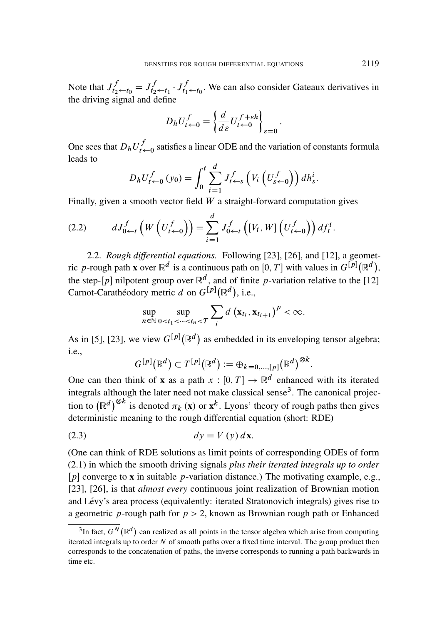Note that  $J_{t_2 \leftarrow t_0}^f = J_{t_2 \leftarrow t_1}^f \cdot J_{t_1 \leftarrow t_0}^f$ . We can also consider Gateaux derivatives in the driving signal and define

$$
D_h U_{t \leftarrow 0}^f = \left\{ \frac{d}{d\varepsilon} U_{t \leftarrow 0}^{f + \varepsilon h} \right\}_{\varepsilon = 0}
$$

:

One sees that  $D_h U_{t-0}^f$  satisfies a linear ODE and the variation of constants formula leads to

$$
D_h U_{t \leftarrow 0}^f (y_0) = \int_0^t \sum_{i=1}^d J_{t \leftarrow s}^f \left( V_i \left( U_{s \leftarrow 0}^f \right) \right) dh_s^i.
$$

Finally, given a smooth vector field  $W$  a straight-forward computation gives

$$
(2.2) \t\t dJ_{0 \leftarrow t}^f\left(W\left(U_{t \leftarrow 0}^f\right)\right) = \sum_{i=1}^d J_{0 \leftarrow t}^f\left([V_i, W]\left(U_{t \leftarrow 0}^f\right)\right) df_i^i.
$$

2.2. *Rough differential equations.* Following [23], [26], and [12], a geometric p-rough path **x** over  $\mathbb{R}^d$  is a continuous path on [0, T] with values in  $G^{[p]}(\mathbb{R}^d)$ , the step-[p] nilpotent group over  $\mathbb{R}^d$ , and of finite p-variation relative to the [12] Carnot-Carathéodory metric d on  $G^{[p]}(\mathbb{R}^d)$ , i.e.,

$$
\sup_{n \in \mathbb{N}} \sup_{0 < t_1 < \dots < t_n < T} \sum_i d\left(\mathbf{x}_{t_i}, \mathbf{x}_{t_{i+1}}\right)^p < \infty.
$$

As in [5], [23], we view  $G^{[p]}(\mathbb{R}^d)$  as embedded in its enveloping tensor algebra; i.e.,

$$
G^{[p]}(\mathbb{R}^d) \subset T^{[p]}(\mathbb{R}^d) := \bigoplus_{k=0,\dots,[p]} (\mathbb{R}^d)^{\otimes k}.
$$

One can then think of **x** as a path  $x : [0, T] \rightarrow \mathbb{R}^d$  enhanced with its iterated integrals although the later need not make classical sense<sup>3</sup>. The canonical projection to  $(\mathbb{R}^d)^{\otimes k}$  is denoted  $\pi_k$  (x) or  $x^k$ . Lyons' theory of rough paths then gives deterministic meaning to the rough differential equation (short: RDE)

$$
dy = V(y) \, d\mathbf{x}.
$$

(One can think of RDE solutions as limit points of corresponding ODEs of form (2.1) in which the smooth driving signals *plus their iterated integrals up to order*  $[p]$  converge to **x** in suitable p-variation distance.) The motivating example, e.g., [23], [26], is that *almost every* continuous joint realization of Brownian motion and Lévy's area process (equivalently: iterated Stratonovich integrals) gives rise to a geometric *p*-rough path for  $p > 2$ , known as Brownian rough path or Enhanced

<sup>&</sup>lt;sup>3</sup>In fact,  $G^N(\mathbb{R}^d)$  can realized as all points in the tensor algebra which arise from computing iterated integrals up to order  $N$  of smooth paths over a fixed time interval. The group product then corresponds to the concatenation of paths, the inverse corresponds to running a path backwards in time etc.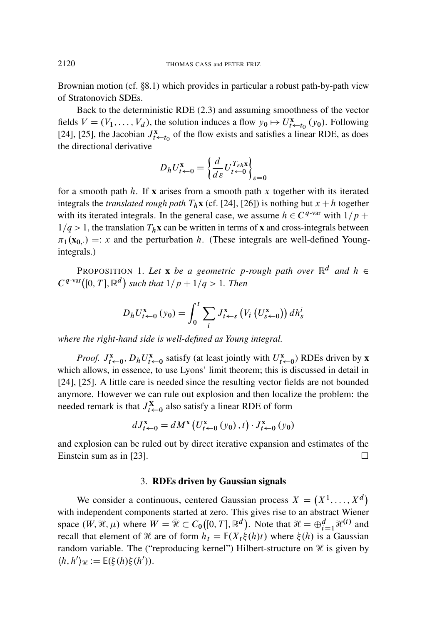Brownian motion (cf. 8.1) which provides in particular a robust path-by-path view of Stratonovich SDEs.

Back to the deterministic RDE (2.3) and assuming smoothness of the vector fields  $V = (V_1, \ldots, V_d)$ , the solution induces a flow  $y_0 \mapsto U_{t \leftarrow t_0}^{\mathbf{x}}(y_0)$ . Following [24], [25], the Jacobian  $J_{t \leftarrow t_0}^{\mathbf{x}}$  of the flow exists and satisfies a linear RDE, as does the directional derivative

$$
D_h U_{t \leftarrow 0}^{\mathbf{x}} = \left\{ \frac{d}{d\varepsilon} U_{t \leftarrow 0}^{T_{\varepsilon h \mathbf{x}}} \right\}_{\varepsilon = 0}
$$

for a smooth path  $h$ . If x arises from a smooth path  $x$  together with its iterated integrals the *translated rough path*  $T_h$ **x** (cf. [24], [26]) is nothing but  $x + h$  together with its iterated integrals. In the general case, we assume  $h \in C^{q-var}$  with  $1/p +$  $1/q > 1$ , the translation  $T_h$ **x** can be written in terms of **x** and cross-integrals between  $\pi_1(\mathbf{x}_{0,:}) =: x$  and the perturbation h. (These integrals are well-defined Youngintegrals.)

PROPOSITION 1. Let **x** be a geometric p-rough path over  $\mathbb{R}^d$  and  $h \in$  $C^{q-var}([0, T], \mathbb{R}^d)$  such that  $1/p + 1/q > 1$ . Then

$$
D_h U_{t \leftarrow 0}^{\mathbf{x}} (y_0) = \int_0^t \sum_i J_{t \leftarrow s}^{\mathbf{x}} (V_i (U_{s \leftarrow 0}^{\mathbf{x}})) dh_s^i
$$

*where the right-hand side is well-defined as Young integral.*

*Proof.*  $J_{t\leftarrow 0}^{\mathbf{x}}$ ,  $D_h U_{t\leftarrow 0}^{\mathbf{x}}$  satisfy (at least jointly with  $U_{t\leftarrow 0}^{\mathbf{x}}$ ) RDEs driven by **x** which allows, in essence, to use Lyons' limit theorem; this is discussed in detail in [24], [25]. A little care is needed since the resulting vector fields are not bounded anymore. However we can rule out explosion and then localize the problem: the needed remark is that  $J_{t \leftarrow 0}^{\mathbf{X}}$  also satisfy a linear RDE of form

$$
dJ_{t \leftarrow 0}^{\mathbf{x}} = dM^{\mathbf{x}} \left( U_{t \leftarrow 0}^{\mathbf{x}} \left( y_0 \right), t \right) \cdot J_{t \leftarrow 0}^{\mathbf{x}} \left( y_0 \right)
$$

and explosion can be ruled out by direct iterative expansion and estimates of the Einstein sum as in [23].  $\Box$ 

#### 3. RDEs driven by Gaussian signals

We consider a continuous, centered Gaussian process  $X = (X^1, \dots, X^d)$ with independent components started at zero. This gives rise to an abstract Wiener space  $(W, \mathcal{H}, \mu)$  where  $W = \bar{\mathcal{H}} \subset C_0([0, T], \mathbb{R}^d)$ . Note that  $\mathcal{H} = \bigoplus_{i=1}^d \mathcal{H}^{(i)}$  and recall that element of H are of form  $h_t = \mathbb{E}(X_t \xi(h)t)$  where  $\xi(h)$  is a Gaussian random variable. The ("reproducing kernel") Hilbert-structure on  $\mathcal H$  is given by  $\langle h, h' \rangle_{\mathcal{H}} := \mathbb{E}(\xi(h)\xi(h')).$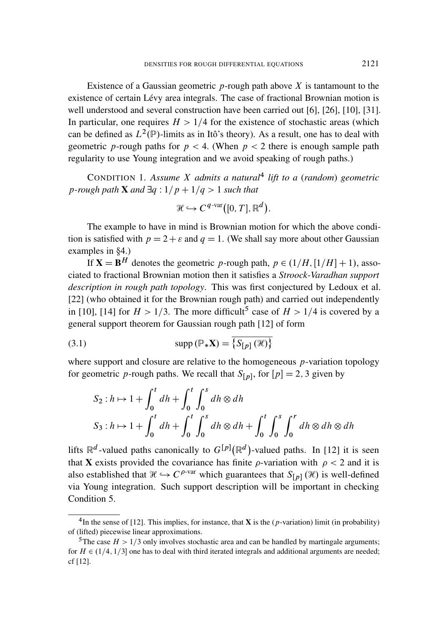Existence of a Gaussian geometric  $p$ -rough path above  $X$  is tantamount to the existence of certain Lévy area integrals. The case of fractional Brownian motion is well understood and several construction have been carried out [6], [26], [10], [31]. In particular, one requires  $H > 1/4$  for the existence of stochastic areas (which can be defined as  $L^2(\mathbb{P})$ -limits as in Itô's theory). As a result, one has to deal with geometric *p*-rough paths for  $p < 4$ . (When  $p < 2$  there is enough sample path regularity to use Young integration and we avoid speaking of rough paths.)

CONDITION 1. *Assume* X *admits a natural*<sup>4</sup> *lift to a* (*random*) *geometric p*-rough path **X** and  $\exists q : 1/p + 1/q > 1$  *such that* 

$$
\mathcal{H} \hookrightarrow C^{q\text{-var}}([0,T],\mathbb{R}^d).
$$

The example to have in mind is Brownian motion for which the above condition is satisfied with  $p = 2 + \varepsilon$  and  $q = 1$ . (We shall say more about other Gaussian examples in  $\S$ 4.)

If  $X = B^H$  denotes the geometric p-rough path,  $p \in (1/H, [1/H] + 1)$ , associated to fractional Brownian motion then it satisfies a *Stroock-Varadhan support description in rough path topology*. This was first conjectured by Ledoux et al. [22] (who obtained it for the Brownian rough path) and carried out independently in [10], [14] for  $H > 1/3$ . The more difficult<sup>5</sup> case of  $H > 1/4$  is covered by a general support theorem for Gaussian rough path [12] of form

(3.1) 
$$
\text{supp}(\mathbb{P}_{*}\mathbf{X}) = \overline{\{S_{[p]}(\mathcal{H})\}}
$$

where support and closure are relative to the homogeneous  $p$ -variation topology for geometric *p*-rough paths. We recall that  $S_{[p]}$ , for  $[p] = 2, 3$  given by

$$
S_2: h \mapsto 1 + \int_0^t dh + \int_0^t \int_0^s dh \otimes dh
$$
  

$$
S_3: h \mapsto 1 + \int_0^t dh + \int_0^t \int_0^s dh \otimes dh + \int_0^t \int_0^s \int_0^r dh \otimes dh \otimes dh
$$

lifts  $\mathbb{R}^d$ -valued paths canonically to  $G^{[p]}(\mathbb{R}^d)$ -valued paths. In [12] it is seen that **X** exists provided the covariance has finite  $\rho$ -variation with  $\rho < 2$  and it is also established that  $\mathcal{H} \hookrightarrow C^{\rho\text{-var}}$  which guarantees that  $S_{[p]}(\mathcal{H})$  is well-defined via Young integration. Such support description will be important in checking Condition 5.

<sup>&</sup>lt;sup>4</sup>In the sense of [12]. This implies, for instance, that **X** is the  $(p$ -variation) limit (in probability) of (lifted) piecewise linear approximations.

<sup>&</sup>lt;sup>5</sup>The case  $H > 1/3$  only involves stochastic area and can be handled by martingale arguments; for  $H \in (1/4, 1/3]$  one has to deal with third iterated integrals and additional arguments are needed; cf [12].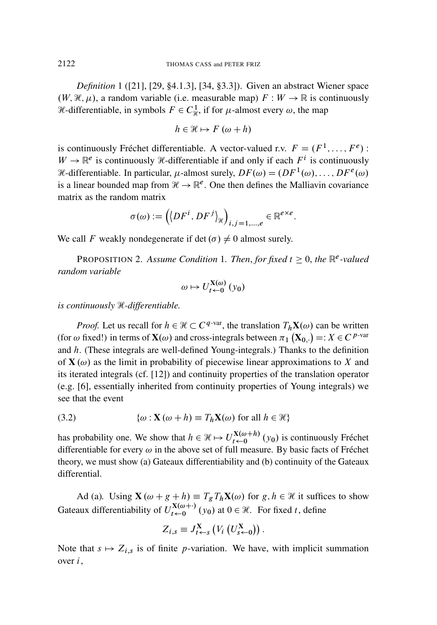*Definition* 1 ([21], [29, §4.1.3], [34, §3.3]). Given an abstract Wiener space  $(W, \mathcal{H}, \mu)$ , a random variable (i.e. measurable map)  $F : W \to \mathbb{R}$  is continuously *H*-differentiable, in symbols  $F \in C_{\mathcal{H}}^1$ , if for  $\mu$ -almost every  $\omega$ , the map

$$
h \in \mathcal{H} \mapsto F(\omega + h)
$$

is continuously Fréchet differentiable. A vector-valued r.v.  $F = (F^1, \ldots, F^e)$ :  $W \to \mathbb{R}^e$  is continuously *H*-differentiable if and only if each  $F^i$  is continuously *H*-differentiable. In particular,  $\mu$ -almost surely,  $DF(\omega) = (DF^1(\omega), \dots, DF^e(\omega))$ is a linear bounded map from  $\mathcal{H} \to \mathbb{R}^e$ . One then defines the Malliavin covariance matrix as the random matrix

$$
\sigma(\omega) := \left( \left\langle DF^i, DF^j \right\rangle_{\mathcal{H}} \right)_{i,j=1,\dots,e} \in \mathbb{R}^{e \times e}.
$$

We call F weakly nondegenerate if det $(\sigma) \neq 0$  almost surely.

PROPOSITION 2. Assume Condition 1. Then, for fixed  $t \geq 0$ , the  $\mathbb{R}^e$ -valued *random variable*

$$
\omega \mapsto U_{t \leftarrow 0}^{\mathbf{X}(\omega)} (y_0)
$$

*is continuously* H*-differentiable.*

*Proof.* Let us recall for  $h \in \mathcal{H} \subset C^{q-var}$ , the translation  $T_h \mathbf{X}(\omega)$  can be written (for  $\omega$  fixed!) in terms of  $\mathbf{X}(\omega)$  and cross-integrals between  $\pi_1(\mathbf{X}_{0, \cdot}) =: X \in C^{p-var}$ and h. (These integrals are well-defined Young-integrals.) Thanks to the definition of  $X(\omega)$  as the limit in probability of piecewise linear approximations to X and its iterated integrals (cf. [12]) and continuity properties of the translation operator (e.g. [6], essentially inherited from continuity properties of Young integrals) we see that the event

(3.2) 
$$
\{\omega : \mathbf{X}(\omega + h) \equiv T_h \mathbf{X}(\omega) \text{ for all } h \in \mathcal{H}\}
$$

has probability one. We show that  $h \in \mathcal{H} \mapsto U_{t \leftarrow 0}^{\mathbf{X}(\omega + h)}$  $\sum_{t \leftarrow 0}^{A(\omega + n)} (y_0)$  is continuously Fréchet differentiable for every  $\omega$  in the above set of full measure. By basic facts of Fréchet theory, we must show (a) Gateaux differentiability and (b) continuity of the Gateaux differential.

Ad (a). Using  $\mathbf{X}(\omega + g + h) \equiv T_gT_h\mathbf{X}(\omega)$  for  $g, h \in \mathcal{H}$  it suffices to show Gateaux differentiability of  $U_{t\leftarrow 0}^{\mathbf{X}(\omega + \cdot)}$  $\mathbf{X}(\omega + \cdot)$  (y<sub>0</sub>) at  $0 \in \mathcal{H}$ . For fixed t, define

$$
Z_{i,s} \equiv J_{t \leftarrow s}^{\mathbf{X}} \left( V_i \left( U_{s \leftarrow 0}^{\mathbf{X}} \right) \right).
$$

Note that  $s \mapsto Z_{i,s}$  is of finite p-variation. We have, with implicit summation over  $i$ ,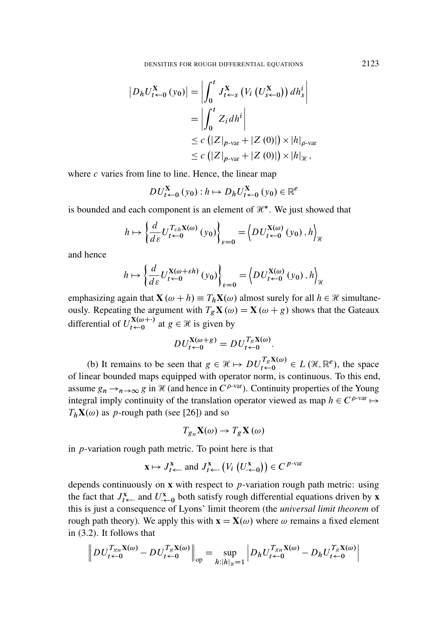$$
\begin{aligned} \left| D_h U_{t \leftarrow 0}^{\mathbf{X}} \left( y_0 \right) \right| &= \left| \int_0^t J_{t \leftarrow s}^{\mathbf{X}} \left( V_i \left( U_{s \leftarrow 0}^{\mathbf{X}} \right) \right) dh_s^i \right| \\ &= \left| \int_0^t Z_i dh^i \right| \\ &\leq c \left( \left| Z \right|_{p \text{-var}} + \left| Z \left( 0 \right) \right| \right) \times \left| h \right|_{p \text{-var}} \\ &\leq c \left( \left| Z \right|_{p \text{-var}} + \left| Z \left( 0 \right) \right| \right) \times \left| h \right|_{\mathcal{H}}, \end{aligned}
$$

where  $c$  varies from line to line. Hence, the linear map

$$
DU_{t\leftarrow 0}^{\mathbf{X}}\left(y_{0}\right):h\mapsto D_{h}U_{t\leftarrow 0}^{\mathbf{X}}\left(y_{0}\right)\in\mathbb{R}^{e}
$$

is bounded and each component is an element of  $\mathcal{H}^*$ . We just showed that

$$
h \mapsto \left\{ \frac{d}{d\varepsilon} U_{t \leftarrow 0}^{T_{\varepsilon h} \mathbf{X}(\omega)} (y_0) \right\}_{\varepsilon = 0} = \left\langle D U_{t \leftarrow 0}^{\mathbf{X}(\omega)} (y_0), h \right\rangle_{\mathcal{H}}
$$

and hence

$$
h \mapsto \left\{ \frac{d}{d\varepsilon} U_{t \leftarrow 0}^{\mathbf{X}(\omega + \varepsilon h)} (y_0) \right\}_{\varepsilon = 0} = \left\langle D U_{t \leftarrow 0}^{\mathbf{X}(\omega)} (y_0), h \right\rangle_{\mathcal{H}}
$$

emphasizing again that  $\mathbf{X}(\omega + h) \equiv T_h \mathbf{X}(\omega)$  almost surely for all  $h \in \mathcal{H}$  simultaneously. Repeating the argument with  $T_g \mathbf{X}(\omega) = \mathbf{X}(\omega + g)$  shows that the Gateaux differential of  $U_{t-0}^{X(\omega+)}$  $\chi_{t \leftarrow 0}^{X(\omega + \cdot)}$  at  $g \in \mathcal{H}$  is given by

$$
DU_{t\leftarrow 0}^{\mathbf{X}(\omega+g)} = DU_{t\leftarrow 0}^{T_g\mathbf{X}(\omega)}.
$$

(b) It remains to be seen that  $g \in \mathcal{H} \mapsto DU_{t \leftarrow 0}^{T_g \mathbf{X}(\omega)} \in L(\mathcal{H}, \mathbb{R}^e)$ , the space of linear bounded maps equipped with operator norm, is continuous. To this end, assume  $g_n \to_{n \to \infty} g$  in H (and hence in  $C^{\rho$ -var). Continuity properties of the Young integral imply continuity of the translation operator viewed as map  $h \in C^{\rho\text{-var}} \mapsto$  $T_h$ **X**( $\omega$ ) as p-rough path (see [26]) and so

$$
T_{g_n}\mathbf{X}(\omega) \to T_g\mathbf{X}(\omega)
$$

in  $p$ -variation rough path metric. To point here is that

$$
\mathbf{x} \mapsto J_{t \leftarrow}^{\mathbf{x}}
$$
 and  $J_{t \leftarrow}^{\mathbf{x}} \left( V_i \left( U_{t \leftarrow 0}^{\mathbf{x}} \right) \right) \in C^{p-var}$ 

depends continuously on  $x$  with respect to  $p$ -variation rough path metric: using the fact that  $J_{t\leftarrow}^{x}$  and  $U_{t\leftarrow 0}^{x}$  both satisfy rough differential equations driven by **x** this is just a consequence of Lyons' limit theorem (the *universal limit theorem* of rough path theory). We apply this with  $\mathbf{x} = \mathbf{X}(\omega)$  where  $\omega$  remains a fixed element in (3.2). It follows that

$$
\left\|DU_{t\leftarrow 0}^{T_{gn}\mathbf{X}(\omega)} - DU_{t\leftarrow 0}^{T_g\mathbf{X}(\omega)}\right\|_{op} = \sup_{h: |h|_{g} = 1} \left|D_hU_{t\leftarrow 0}^{T_{gn}\mathbf{X}(\omega)} - D_hU_{t\leftarrow 0}^{T_g\mathbf{X}(\omega)}\right|\right.
$$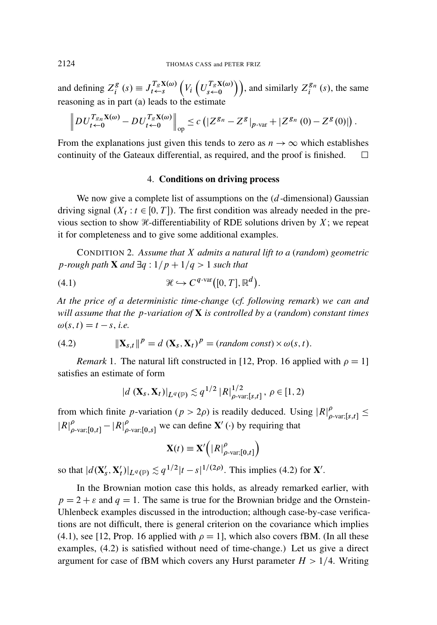and defining  $Z_i^g$  $\mathcal{L}_i^g$  (s)  $\equiv J_{t \leftarrow s}^{T_g \mathbf{X}(\omega)} \left( V_i \left( U_{s \leftarrow 0}^{T_g \mathbf{X}(\omega)} \right) \right)$ , and similarly  $Z_i^{g_n}$  $\binom{g_n}{i}$  (s), the same reasoning as in part (a) leads to the estimate

$$
\left\|DU_{t\leftarrow 0}^{T_{gn}\mathbf{X}(\omega)} - DU_{t\leftarrow 0}^{T_g\mathbf{X}(\omega)}\right\|_{op} \leq c\left(\left|Z^{g_n} - Z^g\right|_{p\text{-var}} + \left|Z^{g_n}\left(0\right) - Z^g\left(0\right)\right|\right).
$$

From the explanations just given this tends to zero as  $n \to \infty$  which establishes continuity of the Gateaux differential, as required, and the proof is finished.  $\Box$ 

#### 4. Conditions on driving process

We now give a complete list of assumptions on the  $(d$ -dimensional) Gaussian driving signal  $(X_t : t \in [0, T])$ . The first condition was already needed in the previous section to show  $\mathcal{H}\text{-differential}$  of RDE solutions driven by X; we repeat it for completeness and to give some additional examples.

CONDITION 2. *Assume that* X *admits a natural lift to a* (*random*) *geometric p*-rough path **X** and  $\exists q : 1/p + 1/q > 1$  *such that* 

$$
\mathcal{H} \hookrightarrow C^{q\text{-var}}([0,T], \mathbb{R}^d).
$$

*At the price of a deterministic time-change* (*cf. following remark*) *we can and will assume that the* p*-variation of* X *is controlled by a* (*random*) *constant times*  $\omega(s, t) = t - s$ , *i.e.* 

(4.2) 
$$
\|\mathbf{X}_{s,t}\|^p = d(\mathbf{X}_s, \mathbf{X}_t)^p = (random \text{ const}) \times \omega(s, t).
$$

*Remark* 1. The natural lift constructed in [12, Prop. 16 applied with  $\rho = 1$ ] satisfies an estimate of form

$$
|d\left(\mathbf{X}_s, \mathbf{X}_t\right)|_{L^q(\mathbb{P})} \lesssim q^{1/2} |R|_{\rho\text{-var},[s,t]}^{1/2}, \ \rho \in [1,2)
$$

from which finite p-variation ( $p > 2\rho$ ) is readily deduced. Using  $|R|_q^{\rho}$  $_{\rho\text{-var;}[s,t]}^{\rho} \leq$  $|R|_0^{\rho}$  $_{\rho\text{-var;[0,t]}}^{\rho}-|R|_{\rho}^{\rho}$  $_{\rho\text{-var;[0,s]}}^{\rho}$  we can define  $\mathbf{X}'$  ( $\cdot$ ) by requiring that

$$
\mathbf{X}(t) \equiv \mathbf{X}'\Big(|R|_{\rho\text{-var};[0,t]}^{\rho}\Big)
$$

so that  $\left| d(\mathbf{X}_s) \right|$  $'_{s}$ ,  $\mathbf{X}'_{t}$  $t'$ )| $L^{q}(\mathbb{P}) \lesssim q^{1/2} |t-s|^{1/(2\rho)}$ . This implies (4.2) for **X'**.

In the Brownian motion case this holds, as already remarked earlier, with  $p = 2 + \varepsilon$  and  $q = 1$ . The same is true for the Brownian bridge and the Ornstein-Uhlenbeck examples discussed in the introduction; although case-by-case verifications are not difficult, there is general criterion on the covariance which implies (4.1), see [12, Prop. 16 applied with  $\rho = 1$ ], which also covers fBM. (In all these examples, (4.2) is satisfied without need of time-change.) Let us give a direct argument for case of fBM which covers any Hurst parameter  $H > 1/4$ . Writing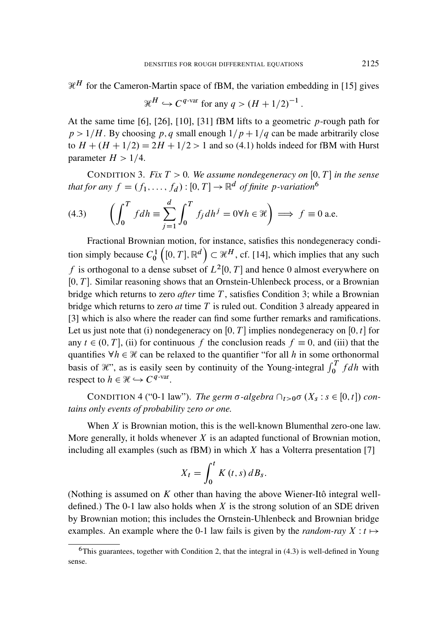$\mathcal{H}^H$  for the Cameron-Martin space of fBM, the variation embedding in [15] gives

$$
\mathcal{H}^H \hookrightarrow C^{q\text{-var}}
$$
 for any  $q > (H + 1/2)^{-1}$ 

At the same time  $[6]$ ,  $[26]$ ,  $[10]$ ,  $[31]$  fBM lifts to a geometric p-rough path for  $p > 1/H$ . By choosing p; q small enough  $1/p + 1/q$  can be made arbitrarily close to  $H + (H + 1/2) = 2H + 1/2 > 1$  and so (4.1) holds indeed for fBM with Hurst parameter  $H > 1/4$ .

CONDITION 3. *Fix*  $T > 0$ *. We assume nondegeneracy on*  $[0, T]$  *in the sense* that for any  $f = (f_1, \ldots, f_d) : [0, T] \rightarrow \mathbb{R}^d$  of finite p-variation<sup>6</sup>

(4.3) 
$$
\left(\int_0^T f dh \equiv \sum_{j=1}^d \int_0^T f_j dh^j = 0 \forall h \in \mathcal{H}\right) \Longrightarrow f \equiv 0 \text{ a.e.}
$$

Fractional Brownian motion, for instance, satisfies this nondegeneracy condition simply because  $C_0^1([0,T], \mathbb{R}^d) \subset \mathcal{H}^H$ , cf. [14], which implies that any such f is orthogonal to a dense subset of  $L^2[0,T]$  and hence 0 almost everywhere on  $[0, T]$ . Similar reasoning shows that an Ornstein-Uhlenbeck process, or a Brownian bridge which returns to zero *after* time T, satisfies Condition 3; while a Brownian bridge which returns to zero *at* time T is ruled out. Condition 3 already appeared in [3] which is also where the reader can find some further remarks and ramifications. Let us just note that (i) nondegeneracy on [0, T] implies nondegeneracy on [0, t] for any  $t \in (0, T]$ , (ii) for continuous f the conclusion reads  $f \equiv 0$ , and (iii) that the quantifies  $\forall h \in \mathcal{H}$  can be relaxed to the quantifier "for all h in some orthonormal basis of  $\mathcal{H}$ ", as is easily seen by continuity of the Young-integral  $\int_0^T f dh$  with respect to  $h \in \mathcal{H} \hookrightarrow C^{q\text{-var}}$ .

CONDITION 4 ("0-1 law"). *The germ*  $\sigma$ -algebra  $\bigcap_{t>0} \sigma(X_s : s \in [0, t])$  con*tains only events of probability zero or one.*

When  $X$  is Brownian motion, this is the well-known Blumenthal zero-one law. More generally, it holds whenever  $X$  is an adapted functional of Brownian motion, including all examples (such as fBM) in which  $X$  has a Volterra presentation [7]

$$
X_t = \int_0^t K(t,s) dB_s.
$$

(Nothing is assumed on  $K$  other than having the above Wiener-Itô integral welldefined.) The 0-1 law also holds when  $X$  is the strong solution of an SDE driven by Brownian motion; this includes the Ornstein-Uhlenbeck and Brownian bridge examples. An example where the 0-1 law fails is given by the *random-ray*  $X : t \mapsto$ 

:

 $6$ This guarantees, together with Condition 2, that the integral in  $(4.3)$  is well-defined in Young sense.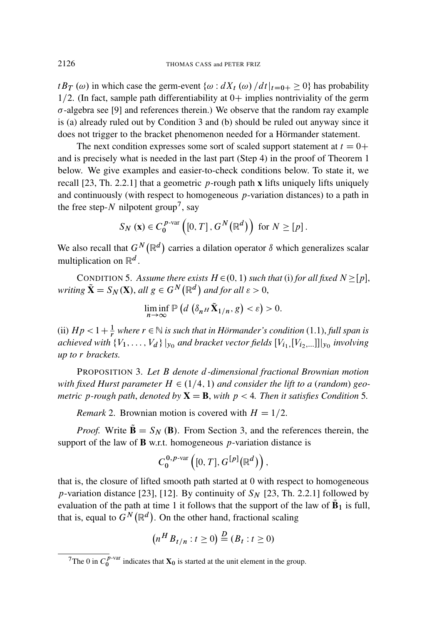$tB_T(\omega)$  in which case the germ-event  $\{\omega : dX_t(\omega)/dt\}_{t=0+} \geq 0\}$  has probability  $1/2$ . (In fact, sample path differentiability at  $0+$  implies nontriviality of the germ  $\sigma$ -algebra see [9] and references therein.) We observe that the random ray example is (a) already ruled out by Condition 3 and (b) should be ruled out anyway since it does not trigger to the bracket phenomenon needed for a Hörmander statement.

The next condition expresses some sort of scaled support statement at  $t = 0+$ and is precisely what is needed in the last part (Step 4) in the proof of Theorem 1 below. We give examples and easier-to-check conditions below. To state it, we recall  $[23, Th. 2.2.1]$  that a geometric p-rough path x lifts uniquely lifts uniquely and continuously (with respect to homogeneous  $p$ -variation distances) to a path in the free step- $N$  nilpotent group<sup>7</sup>, say

$$
S_N(\mathbf{x}) \in C_0^{p\text{-var}}\left([0,T], G^N(\mathbb{R}^d)\right) \text{ for } N \geq [p].
$$

We also recall that  $G^N(\mathbb{R}^d)$  carries a dilation operator  $\delta$  which generalizes scalar multiplication on  $\mathbb{R}^d$ .

CONDITION 5. Assume there exists  $H \in (0, 1)$  such that (i) for all fixed  $N \geq [p]$ , *writing*  $\tilde{\mathbf{X}} = S_N(\mathbf{X})$ , *all*  $g \in G^N(\mathbb{R}^d)$  *and for all*  $\varepsilon > 0$ ,

$$
\liminf_{n\to\infty}\mathbb{P}\left(d\left(\delta_n\mu\tilde{\mathbf{X}}_{1/n},g\right)<\varepsilon\right)>0.
$$

(ii)  $Hp < 1 + \frac{1}{r}$  where  $r \in \mathbb{N}$  is such that in Hörmander's condition (1.1), *full span is* achieved with  $\{V_1, \ldots, V_d\} \vert_{y_0}$  and bracket vector fields  $[V_{i_1,1}, V_{i_2, \ldots}]] \vert_{y_0}$  involving *up to* r *brackets.*

PROPOSITION 3. *Let* B *denote* d*-dimensional fractional Brownian motion with fixed Hurst parameter*  $H \in (1/4, 1)$  *and consider the lift to a (random) geometric* p-rough path, denoted by  $X = B$ , with  $p < 4$ . Then it satisfies Condition 5.

*Remark* 2. Brownian motion is covered with  $H = 1/2$ .

*Proof.* Write  $\mathbf{\tilde{B}} = S_N (\mathbf{B})$ . From Section 3, and the references therein, the support of the law of **B** w.r.t. homogeneous  $p$ -variation distance is

$$
C_0^{0,p\text{-}\mathrm{var}}\left([0,T],G^{\llbracket p\rrbracket}(\mathbb{R}^d)\right),\,
$$

that is, the closure of lifted smooth path started at 0 with respect to homogeneous p-variation distance [23], [12]. By continuity of  $S_N$  [23, Th. 2.2.1] followed by evaluation of the path at time 1 it follows that the support of the law of  $\tilde{B}_1$  is full, that is, equal to  $G^N(\mathbb{R}^d)$ . On the other hand, fractional scaling

$$
\left(n^H B_{t/n} : t \ge 0\right) \stackrel{D}{=} \left(B_t : t \ge 0\right)
$$

<sup>&</sup>lt;sup>7</sup>The 0 in  $C_0^{p\text{-var}}$  indicates that  $\mathbf{X}_0$  is started at the unit element in the group.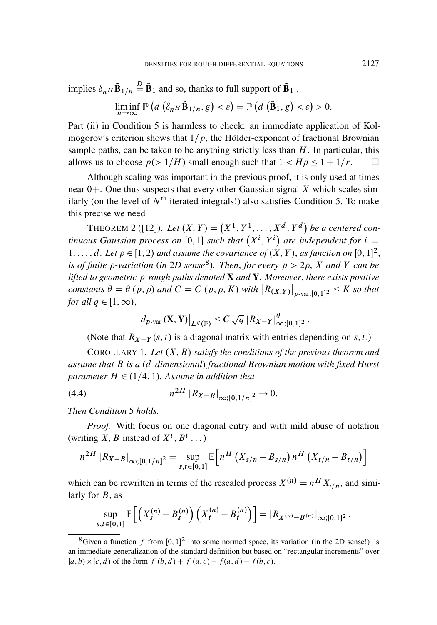implies 
$$
\delta_{nH} \tilde{\mathbf{B}}_{1/n} \stackrel{\text{D}}{=} \tilde{\mathbf{B}}_1
$$
 and so, thanks to full support of  $\tilde{\mathbf{B}}_1$ ,  
\n
$$
\liminf_{n \to \infty} \mathbb{P}\left(d\left(\delta_{nH} \tilde{\mathbf{B}}_{1/n}, g\right) < \varepsilon\right) = \mathbb{P}\left(d\left(\tilde{\mathbf{B}}_{1}, g\right) < \varepsilon\right) > 0.
$$

Part (ii) in Condition 5 is harmless to check: an immediate application of Kolmogorov's criterion shows that  $1/p$ , the Hölder-exponent of fractional Brownian sample paths, can be taken to be anything strictly less than  $H$ . In particular, this allows us to choose  $p(> 1/H)$  small enough such that  $1 < Hp \leq 1+1/r$ .

Although scaling was important in the previous proof, it is only used at times near  $0+$ . One thus suspects that every other Gaussian signal X which scales similarly (on the level of  $N<sup>th</sup>$  iterated integrals!) also satisfies Condition 5. To make this precise we need

**THEOREM 2** ([12]). Let  $(X, Y) = (X^1, Y^1, \dots, X^d, Y^d)$  be a centered con*tinuous Gaussian process on* [0, 1] *such that*  $(X^i, Y^i)$  *are independent for*  $i =$ 1,..., d. Let  $\rho \in [1, 2)$  and assume the covariance of  $(X, Y)$ , as function on  $[0, 1]^2$ , *is of finite*  $\rho$ -variation (*in* 2*D* sense<sup>8</sup>). Then, for every  $p > 2\rho$ , *X* and *Y* can be *lifted to geometric* p*-rough paths denoted* X *and* Y*. Moreover*, *there exists positive constants*  $\theta = \theta(p, \rho)$  and  $C = C(p, \rho, K)$  with  $|R_{(X,Y)}|_{\rho \text{-}\text{var};[0,1]^2} \leq K$  so that *for all*  $q \in [1,\infty)$ ,

$$
\left|d_{p\text{-var}}\left(\mathbf{X},\mathbf{Y}\right)\right|_{L^q(\mathbb{P})}\leq C\sqrt{q}\left|R_{X-Y}\right|_{\infty;\left[0,1\right]^2}^{\theta}.
$$

(Note that  $R_{X-Y}(s, t)$  is a diagonal matrix with entries depending on s, t.)

COROLLARY 1. Let  $(X, B)$  *satisfy the conditions of the previous theorem and assume that* B *is a* (d*-dimensional*) *fractional Brownian motion with fixed Hurst parameter*  $H \in (1/4, 1)$ *. Assume in addition that* 

(4.4) 
$$
n^{2H} |R_{X-B}|_{\infty;[0,1/n]^2} \to 0.
$$

*Then Condition* 5 *holds.*

*Proof.* With focus on one diagonal entry and with mild abuse of notation (writing X, B instead of  $X^i$ ,  $B^i$ ...)

$$
n^{2H} |R_{X-B}|_{\infty;[0,1/n]^2} = \sup_{s,t \in [0,1]} \mathbb{E}\left[n^H (X_{s/n} - B_{s/n}) n^H (X_{t/n} - B_{t/n})\right]
$$

which can be rewritten in terms of the rescaled process  $X^{(n)} = n^H X_{1/n}$ , and similarly for  $B$ , as

$$
\sup_{s,t\in[0,1]}\mathbb{E}\left[\left(X_s^{(n)}-B_s^{(n)}\right)\left(X_t^{(n)}-B_t^{(n)}\right)\right]=|R_{X^{(n)}-B^{(n)}}|_{\infty;[0,1]^2}.
$$

<sup>&</sup>lt;sup>8</sup>Given a function f from  $[0, 1]^2$  into some normed space, its variation (in the 2D sense!) is an immediate generalization of the standard definition but based on "rectangular increments" over  $[a, b) \times [c, d)$  of the form  $f (b, d) + f (a, c) - f(a, d) - f(b, c)$ .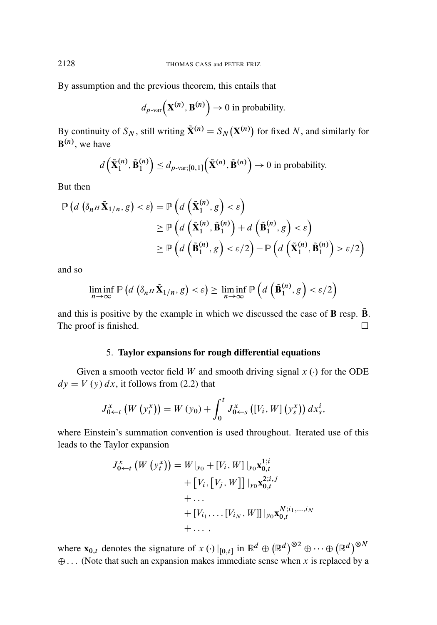By assumption and the previous theorem, this entails that

$$
d_{p\text{-var}}(\mathbf{X}^{(n)}, \mathbf{B}^{(n)}) \to 0
$$
 in probability.

By continuity of  $S_N$ , still writing  $\tilde{\mathbf{X}}^{(n)} = S_N(\mathbf{X}^{(n)})$  for fixed N, and similarly for  $\mathbf{B}^{(n)}$ , we have

$$
d\left(\tilde{\mathbf{X}}_1^{(n)}, \tilde{\mathbf{B}}_1^{(n)}\right) \leq d_{p\text{-var;[0,1]}}\left(\tilde{\mathbf{X}}^{(n)}, \tilde{\mathbf{B}}^{(n)}\right) \to 0 \text{ in probability.}
$$

But then

$$
\mathbb{P}\left(d\left(\delta_{n^H}\tilde{\mathbf{X}}_{1/n},g\right)<\varepsilon\right) = \mathbb{P}\left(d\left(\tilde{\mathbf{X}}_1^{(n)},g\right)<\varepsilon\right) \\
\geq \mathbb{P}\left(d\left(\tilde{\mathbf{X}}_1^{(n)},\tilde{\mathbf{B}}_1^{(n)}\right)+d\left(\tilde{\mathbf{B}}_1^{(n)},g\right)<\varepsilon\right) \\
\geq \mathbb{P}\left(d\left(\tilde{\mathbf{B}}_1^{(n)},g\right)<\varepsilon/2\right)-\mathbb{P}\left(d\left(\tilde{\mathbf{X}}_1^{(n)},\tilde{\mathbf{B}}_1^{(n)}\right)>\varepsilon/2\right)
$$

and so

$$
\liminf_{n \to \infty} \mathbb{P}\left(d\left(\delta_{n^H}\tilde{\mathbf{X}}_{1/n}, g\right) < \varepsilon\right) \geq \liminf_{n \to \infty} \mathbb{P}\left(d\left(\tilde{\mathbf{B}}_1^{(n)}, g\right) < \varepsilon/2\right)
$$

and this is positive by the example in which we discussed the case of  $\bf{B}$  resp.  $\bf{\tilde{B}}$ . The proof is finished.  $\Box$ 

#### 5. Taylor expansions for rough differential equations

Given a smooth vector field W and smooth driving signal  $x(\cdot)$  for the ODE  $dy = V(y) dx$ , it follows from (2.2) that

$$
J_{0 \leftarrow t}^{x} (W (y_{t}^{x})) = W (y_{0}) + \int_{0}^{t} J_{0 \leftarrow s}^{x} ([V_{i}, W] (y_{s}^{x})) dx_{s}^{i},
$$

where Einstein's summation convention is used throughout. Iterated use of this leads to the Taylor expansion

$$
J_{0 \leftarrow t}^{x} (W (y_{t}^{x})) = W|_{y_{0}} + [V_{i}, W]|_{y_{0}} \mathbf{x}_{0,t}^{1;i}
$$
  
+  $[V_{i}, [V_{j}, W]]|_{y_{0}} \mathbf{x}_{0,t}^{2;i,j}$   
+ ...  
+  $[V_{i_{1}}, \dots [V_{i_{N}}, W]]|_{y_{0}} \mathbf{x}_{0,t}^{N;i_{1},...,i_{N}}$   
+ ... ,

where  $\mathbf{x}_{0,t}$  denotes the signature of  $x \cdot (.) |_{[0,t]}$  in  $\mathbb{R}^d \oplus (\mathbb{R}^d)^{\otimes 2} \oplus \cdots \oplus (\mathbb{R}^d)^{\otimes N}$  $\oplus$ ... (Note that such an expansion makes immediate sense when x is replaced by a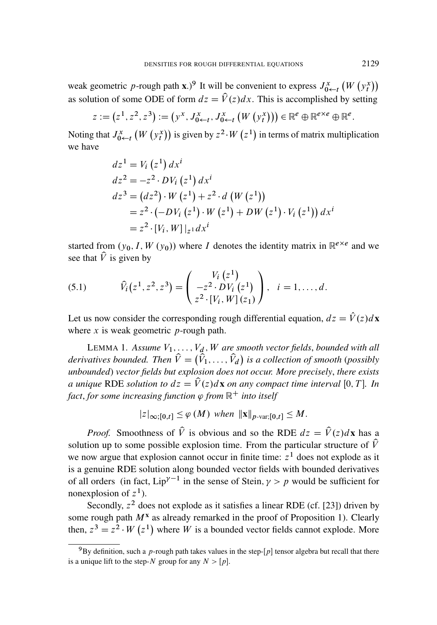weak geometric p-rough path x.)<sup>9</sup> It will be convenient to express  $J_{0 \leftarrow t}^x(W(y_t^x))$ as solution of some ODE of form  $dz = \hat{V}(z)dx$ . This is accomplished by setting

$$
z := (z^1, z^2, z^3) := (y^x, J_{0 \leftarrow t}^x, J_{0 \leftarrow t}^x (W (y_t^x))) \in \mathbb{R}^e \oplus \mathbb{R}^{e \times e} \oplus \mathbb{R}^e
$$

Noting that  $J_{0\leftarrow t}^x(W(y_t^x))$  is given by  $z^2 \cdot W(z^1)$  in terms of matrix multiplication we have

$$
dz^{1} = V_{i} (z^{1}) dx^{i}
$$
  
\n
$$
dz^{2} = -z^{2} \cdot DV_{i} (z^{1}) dx^{i}
$$
  
\n
$$
dz^{3} = (dz^{2}) \cdot W (z^{1}) + z^{2} \cdot d (W (z^{1}))
$$
  
\n
$$
= z^{2} \cdot (-DV_{i} (z^{1}) \cdot W (z^{1}) + DW (z^{1}) \cdot V_{i} (z^{1})) dx^{i}
$$
  
\n
$$
= z^{2} \cdot [V_{i}, W] |_{z^{1}} dx^{i}
$$

started from  $(y_0, I, W(y_0))$  where I denotes the identity matrix in  $\mathbb{R}^{e \times e}$  and we see that  $\hat{V}$  is given by

(5.1) 
$$
\hat{V}_i(z^1, z^2, z^3) = \begin{pmatrix} V_i(z^1) \\ -z^2 \cdot DV_i(z^1) \\ z^2 \cdot [V_i, W](z_1) \end{pmatrix}, \quad i = 1, ..., d.
$$

Let us now consider the corresponding rough differential equation,  $dz = \hat{V}(z)dx$ where x is weak geometric  $p$ -rough path.

LEMMA 1. Assume  $V_1, \ldots, V_d, W$  are smooth vector fields, bounded with all *derivatives bounded. Then*  $\hat{V} = (\hat{V}_1, \ldots, \hat{V}_d)$  *is a collection of smooth (possibly unbounded*) *vector fields but explosion does not occur. More precisely*, *there exists a unique* RDE *solution to*  $dz = \hat{V}(z)d\mathbf{x}$  *on any compact time interval* [0, T]. *In* fact, for some increasing function  $\varphi$  from  $\mathbb{R}^+$  into itself

$$
|z|_{\infty;[0,t]} \leq \varphi(M) \text{ when } ||\mathbf{x}||_{p\text{-var};[0,t]} \leq M.
$$

*Proof.* Smoothness of  $\hat{V}$  is obvious and so the RDE  $dz = \hat{V}(z)d\mathbf{x}$  has a solution up to some possible explosion time. From the particular structure of  $\hat{V}$ we now argue that explosion cannot occur in finite time:  $z<sup>1</sup>$  does not explode as it is a genuine RDE solution along bounded vector fields with bounded derivatives of all orders (in fact,  $Lip^{\gamma-1}$  in the sense of Stein,  $\gamma > p$  would be sufficient for nonexplosion of  $z^1$ ).

Secondly,  $z^2$  does not explode as it satisfies a linear RDE (cf. [23]) driven by some rough path  $M^x$  as already remarked in the proof of Proposition 1). Clearly then,  $z^3 = z^2 \cdot W(z^1)$  where W is a bounded vector fields cannot explode. More

:

 $^{9}$ By definition, such a p-rough path takes values in the step-[p] tensor algebra but recall that there is a unique lift to the step-N group for any  $N > [p]$ .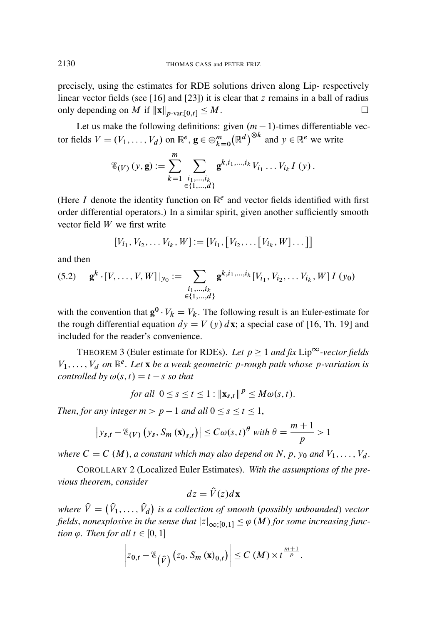precisely, using the estimates for RDE solutions driven along Lip- respectively linear vector fields (see [16] and [23]) it is clear that  $z$  remains in a ball of radius only depending on M if  $||\mathbf{x}||_{p\text{-}\text{var};[0,t]} \leq M$ .

Let us make the following definitions: given  $(m - 1)$ -times differentiable vector fields  $V = (V_1, \dots, V_d)$  on  $\mathbb{R}^e$ ,  $\mathbf{g} \in \bigoplus_{k=0}^m (\mathbb{R}^d)^{\otimes k}$  and  $y \in \mathbb{R}^e$  we write

$$
\mathscr{E}_{(V)}(y,\mathbf{g}) := \sum_{k=1}^{m} \sum_{\substack{i_1,\dots,i_k\\ \in \{1,\dots,d\}}} \mathbf{g}^{k,i_1,\dots,i_k} V_{i_1} \dots V_{i_k} I(y).
$$

(Here I denote the identity function on  $\mathbb{R}^e$  and vector fields identified with first order differential operators.) In a similar spirit, given another sufficiently smooth vector field W we first write

$$
[V_{i_1}, V_{i_2}, \dots V_{i_k}, W] := [V_{i_1}, [V_{i_2}, \dots [V_{i_k}, W] \dots ]]
$$

and then

$$
(5.2) \quad \mathbf{g}^k \cdot [V, \dots, V, W]|_{y_0} := \sum_{\substack{i_1, \dots, i_k \\ \in \{1, \dots, d\}}} \mathbf{g}^{k, i_1, \dots, i_k} [V_{i_1}, V_{i_2}, \dots V_{i_k}, W] I(y_0)
$$

with the convention that  $\mathbf{g}^0 \cdot V_k = V_k$ . The following result is an Euler-estimate for the rough differential equation  $dy = V(y) dx$ ; a special case of [16, Th. 19] and included for the reader's convenience.

THEOREM 3 (Euler estimate for RDEs). Let  $p \geq 1$  and fix Lip<sup> $\infty$ </sup>-vector fields  $V_1, \ldots, V_d$  on  $\mathbb{R}^e$ . Let **x** be a weak geometric p-rough path whose p-variation is *controlled by*  $\omega(s, t) = t - s$  *so that* 

for all 
$$
0 \le s \le t \le 1 : ||\mathbf{x}_{s,t}||^p \le M\omega(s,t)
$$
.

*Then, for any integer*  $m > p - 1$  *and all*  $0 \le s \le t \le 1$ ,

$$
\left|y_{s,t} - \mathcal{E}_{(V)}\left(y_s, S_m\left(\mathbf{x}\right)_{s,t}\right)\right| \leq C \omega(s,t)^{\theta} \text{ with } \theta = \frac{m+1}{p} > 1
$$

*where*  $C = C(M)$ , *a constant which may also depend on* N, p, y<sub>0</sub> *and*  $V_1, \ldots, V_d$ .

COROLLARY 2 (Localized Euler Estimates). *With the assumptions of the previous theorem*, *consider*

$$
dz = \hat{V}(z)d\mathbf{x}
$$

where  $\hat{V} = (\hat{V}_1, \ldots, \hat{V}_d)$  is a collection of smooth (possibly unbounded) vector *fields, nonexplosive in the sense that*  $|z|_{\infty;[0,1]} \leq \varphi(M)$  *for some increasing function*  $\varphi$ *. Then for all*  $t \in [0, 1]$ 

$$
\left| z_{0,t} - \mathscr{E}_{(\widehat{V})} \left( z_0, S_m \left( \mathbf{x} \right)_{0,t} \right) \right| \leq C \left( M \right) \times t^{\frac{m+1}{p}}.
$$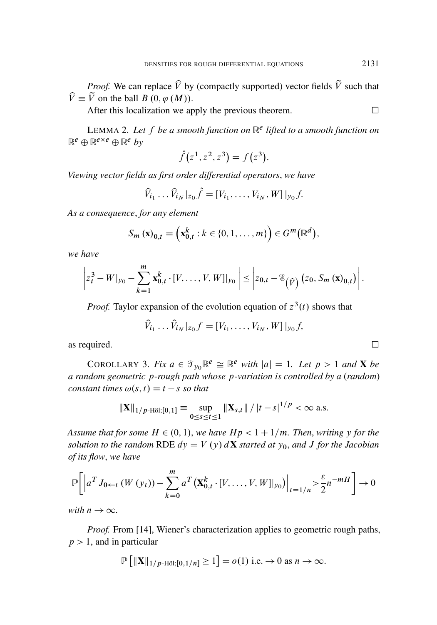*Proof.* We can replace  $\hat{V}$  by (compactly supported) vector fields  $\tilde{V}$  such that  $\hat{V} \equiv \tilde{V}$  on the ball  $B(0, \varphi(M))$ .

After this localization we apply the previous theorem.  $\Box$ 

LEMMA 2. *Let* f *be a smooth function on* R e *lifted to a smooth function on*  $\mathbb{R}^e \oplus \mathbb{R}^{e \times e} \oplus \mathbb{R}^e$  by

$$
\hat{f}(z^1, z^2, z^3) = f(z^3).
$$

*Viewing vector fields as first order differential operators*, *we have*

$$
\hat{V}_{i_1} \dots \hat{V}_{i_N}|_{z_0} \hat{f} = [V_{i_1}, \dots, V_{i_N}, W]|_{y_0} f.
$$

*As a consequence*, *for any element*

$$
S_m(\mathbf{x})_{0,t} = \left(\mathbf{x}_{0,t}^k : k \in \{0, 1, \dots, m\}\right) \in G^m(\mathbb{R}^d),
$$

*we have*

$$
\left|z_t^3 - W\big|_{y_0} - \sum_{k=1}^m \mathbf{x}_{0,t}^k \cdot [V, \ldots, V, W]\big|_{y_0}\right| \leq \left|z_{0,t} - \mathscr{E}_{(\widehat{V})} (z_0, S_m(\mathbf{x})_{0,t})\right|.
$$

*Proof.* Taylor expansion of the evolution equation of  $z^3(t)$  shows that

$$
\hat{V}_{i_1} \dots \hat{V}_{i_N} |_{z_0} f = [V_{i_1}, \dots, V_{i_N}, W] |_{y_0} f,
$$

as required.  $\Box$ 

COROLLARY 3. *Fix*  $a \in \mathcal{T}_{y_0} \mathbb{R}^e \cong \mathbb{R}^e$  *with*  $|a| = 1$ . Let  $p > 1$  and **X** be *a random geometric* p*-rough path whose* p*-variation is controlled by a* (*random*) *constant times*  $\omega(s, t) = t - s$  *so that* 

$$
\|\mathbf{X}\|_{1/p\text{-H\"{o}l};[0,1]} \equiv \sup_{0\leq s\leq t\leq 1} \|\mathbf{X}_{s,t}\| / |t-s|^{1/p} < \infty \text{ a.s.}
$$

*Assume that for some*  $H \in (0, 1)$ *, we have*  $Hp < 1 + 1/m$ *. Then, writing* y *for the solution to the random* RDE  $dy = V(y) dX$  *started at*  $y_0$ *, and J for the Jacobian of its flow*, *we have*

$$
\mathbb{P}\bigg[\Big|a^T J_{0 \leftarrow t} \left(W(y_t)\right) - \sum_{k=0}^m a^T \big(\mathbf{X}_{0,t}^k \cdot [V, \dots, V, W]|_{y_0}\big)\Big|_{t=1/n} > \frac{\varepsilon}{2} n^{-m} \bigg] \to 0
$$

*with*  $n \rightarrow \infty$ .

*Proof.* From [14], Wiener's characterization applies to geometric rough paths,  $p > 1$ , and in particular

$$
\mathbb{P}\left[\|\mathbf{X}\|_{1/p\text{-H\"ol};[0,1/n]}\geq 1\right]=o(1) \text{ i.e.} \to 0 \text{ as } n\to\infty.
$$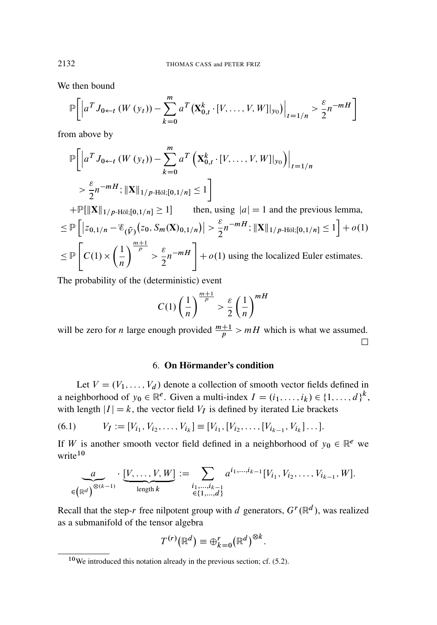We then bound

$$
\mathbb{P}\bigg[\Big|a^T J_{0 \leftarrow t} \left(W\left(y_t\right)\right) - \sum_{k=0}^m a^T \big(\mathbf{X}_{0,t}^k \cdot [V, \dots, V, W]|_{y_0}\big)\Big|_{t=1/n} > \frac{\varepsilon}{2} n^{-m} \bigg]
$$

from above by

$$
\mathbb{P}\Big[\Big|a^T J_{0 \leftarrow t} \left(W(y_t)\right) - \sum_{k=0}^m a^T \left(\mathbf{X}_{0,t}^k \cdot [V, \dots, V, W]|_{y_0}\right)\Big|_{t=1/n}
$$
\n
$$
> \frac{\varepsilon}{2} n^{-m} H; \|\mathbf{X}\|_{1/p\text{-H\"ol};[0,1/n]} \le 1 \Big]
$$
\n
$$
+ \mathbb{P}[\|\mathbf{X}\|_{1/p\text{-H\"ol};[0,1/n]} \ge 1] \qquad \text{then, using } |a| = 1 \text{ and the previous lemma,}
$$
\n
$$
\le \mathbb{P}\Big[\Big|z_{0,1/n} - \mathcal{E}_{(\widehat{V})}(z_0, S_m(\mathbf{X})_{0,1/n})\Big| > \frac{\varepsilon}{2} n^{-m} H; \|\mathbf{X}\|_{1/p\text{-H\"ol};[0,1/n]} \le 1 \Big] + o(1)
$$
\n
$$
\le \mathbb{P}\Big[C(1) \times \left(\frac{1}{n}\right)^{\frac{m+1}{p}} > \frac{\varepsilon}{2} n^{-m} H \Big] + o(1) \text{ using the localized Euler estimates.}
$$

The probability of the (deterministic) event

$$
C(1)\left(\frac{1}{n}\right)^{\frac{m+1}{p}} > \frac{\varepsilon}{2}\left(\frac{1}{n}\right)^{mH}
$$

will be zero for *n* large enough provided  $\frac{m+1}{p} > mH$  which is what we assumed.  $\Box$ 

#### 6. On Hörmander's condition

Let  $V = (V_1, \ldots, V_d)$  denote a collection of smooth vector fields defined in a neighborhood of  $y_0 \in \mathbb{R}^e$ . Given a multi-index  $I = (i_1, \ldots, i_k) \in \{1, \ldots, d\}^k$ , with length  $|I| = k$ , the vector field  $V_I$  is defined by iterated Lie brackets

(6.1) 
$$
V_I := [V_{i_1}, V_{i_2}, \dots, V_{i_k}] \equiv [V_{i_1}, [V_{i_2}, \dots, [V_{i_{k-1}}, V_{i_k}] \dots].
$$

If W is another smooth vector field defined in a neighborhood of  $y_0 \in \mathbb{R}^e$  we write<sup>10</sup>

$$
\underbrace{a}_{\in(\mathbb{R}^d)} \cdot \underbrace{[V, \dots, V, W]}_{\text{length } k} := \sum_{\substack{i_1, \dots, i_{k-1} \\ \in \{1, \dots, d\}}} a^{i_1, \dots, i_{k-1}} [V_{i_1}, V_{i_2}, \dots, V_{i_{k-1}}, W].
$$

Recall that the step-r free nilpotent group with d generators,  $G^r(\mathbb{R}^d)$ , was realized as a submanifold of the tensor algebra

$$
T^{(r)}(\mathbb{R}^d) \equiv \bigoplus_{k=0}^r (\mathbb{R}^d)^{\otimes k}.
$$

<sup>10</sup>We introduced this notation already in the previous section; cf. (5.2).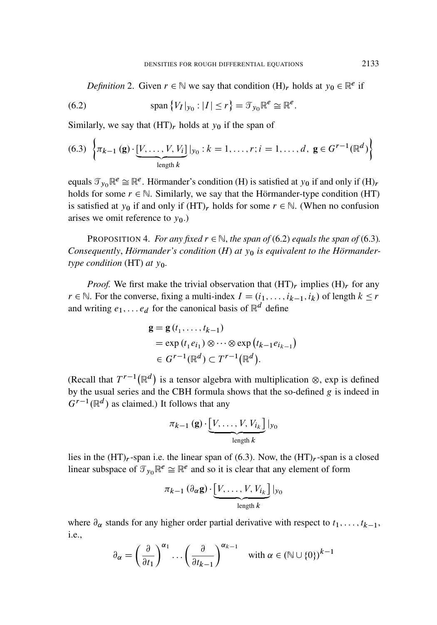*Definition* 2. Given  $r \in \mathbb{N}$  we say that condition  $(H)_r$  holds at  $y_0 \in \mathbb{R}^e$  if

(6.2) 
$$
\text{span}\left\{V_I|_{y_0}: |I| \leq r\right\} = \mathcal{T}_{y_0} \mathbb{R}^e \cong \mathbb{R}^e.
$$

Similarly, we say that  $(HT)_r$  holds at  $y_0$  if the span of

(6.3) 
$$
\left\{\pi_{k-1}(\mathbf{g})\cdot[\underbrace{V,\ldots,V,V_i}_{\text{length }k}]\big|_{y_0}:k=1,\ldots,r; i=1,\ldots,d, \mathbf{g}\in G^{r-1}(\mathbb{R}^d)\right\}
$$

equals  $\mathcal{T}_{y_0} \mathbb{R}^e \cong \mathbb{R}^e$ . Hörmander's condition (H) is satisfied at  $y_0$  if and only if (H)<sub>r</sub> holds for some  $r \in \mathbb{N}$ . Similarly, we say that the Hörmander-type condition (HT) is satisfied at  $y_0$  if and only if  $(HT)_r$  holds for some  $r \in \mathbb{N}$ . (When no confusion arises we omit reference to  $y_0$ .)

PROPOSITION 4. *For any fixed*  $r \in \mathbb{N}$ , *the span of* (6.2) *equals the span of* (6.3)*.* Consequently, *Hörmander's condition* (*H*) at  $y_0$  *is equivalent to the Hörmandertype condition* (HT) *at*  $y_0$ *.* 

*Proof.* We first make the trivial observation that  $(HT)_r$  implies  $(H)_r$  for any  $r \in \mathbb{N}$ . For the converse, fixing a multi-index  $I = (i_1, \ldots, i_{k-1}, i_k)$  of length  $k \le r$ and writing  $e_1, \ldots e_d$  for the canonical basis of  $\mathbb{R}^d$  define

$$
\mathbf{g} = \mathbf{g}(t_1, \dots, t_{k-1})
$$
  
=  $\exp(t_1 e_{i_1}) \otimes \cdots \otimes \exp(t_{k-1} e_{i_{k-1}})$   
 $\in G^{r-1}(\mathbb{R}^d) \subset T^{r-1}(\mathbb{R}^d).$ 

(Recall that  $T^{r-1}(\mathbb{R}^d)$  is a tensor algebra with multiplication  $\otimes$ , exp is defined by the usual series and the CBH formula shows that the so-defined  $g$  is indeed in  $\ddot{G}^{r-1}(\mathbb{R}^d)$  as claimed.) It follows that any

$$
\pi_{k-1}(\mathbf{g})\cdot\underbrace{[V,\ldots,V,V_{i_k}]}_{\text{length }k}|_{y_0}
$$

lies in the  $(HT)_r$ -span i.e. the linear span of (6.3). Now, the  $(HT)_r$ -span is a closed linear subspace of  $\mathcal{T}_{y_0} \mathbb{R}^e \cong \mathbb{R}^e$  and so it is clear that any element of form

$$
\pi_{k-1}(\partial_{\alpha}\mathbf{g})\cdot\underbrace{[V,\ldots,V,V_{i_k}]}_{\text{length }k}|_{y_0}
$$

where  $\partial_{\alpha}$  stands for any higher order partial derivative with respect to  $t_1, \ldots, t_{k-1}$ , i.e.,

$$
\partial_{\alpha} = \left(\frac{\partial}{\partial t_1}\right)^{\alpha_1} \dots \left(\frac{\partial}{\partial t_{k-1}}\right)^{\alpha_{k-1}} \quad \text{with } \alpha \in (\mathbb{N} \cup \{0\})^{k-1}
$$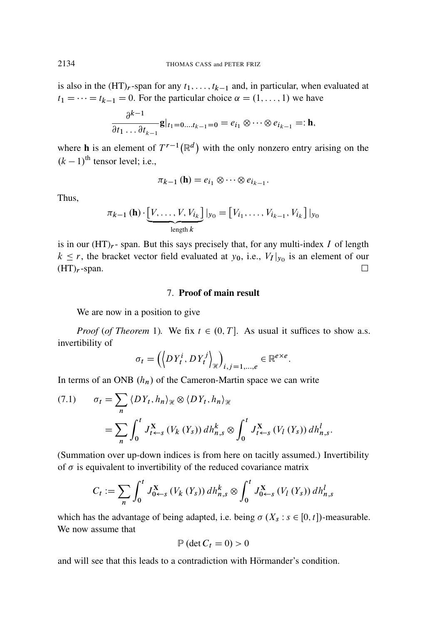is also in the  $(HT)_r$ -span for any  $t_1, \ldots, t_{k-1}$  and, in particular, when evaluated at  $t_1 = \cdots = t_{k-1} = 0$ . For the particular choice  $\alpha = (1, \ldots, 1)$  we have

$$
\frac{\partial^{k-1}}{\partial t_1 \dots \partial t_{k-1}} \mathbf{g}|_{t_1=0\dots t_{k-1}=0} = e_{i_1} \otimes \dots \otimes e_{i_{k-1}} =: \mathbf{h},
$$

where **h** is an element of  $T^{r-1}(\mathbb{R}^d)$  with the only nonzero entry arising on the  $(k - 1)$ <sup>th</sup> tensor level; i.e.,

$$
\pi_{k-1}(\mathbf{h})=e_{i_1}\otimes\cdots\otimes e_{i_{k-1}}.
$$

Thus,

$$
\pi_{k-1}(\mathbf{h}) \cdot \underbrace{[V, \dots, V, V_{i_k}]}_{\text{length } k} |_{y_0} = [V_{i_1}, \dots, V_{i_{k-1}}, V_{i_k}] |_{y_0}
$$

is in our  $(HT)_r$ - span. But this says precisely that, for any multi-index I of length  $k \leq r$ , the bracket vector field evaluated at  $y_0$ , i.e.,  $V_I|_{y_0}$  is an element of our  $(HT)_r$ -span.

#### 7. Proof of main result

We are now in a position to give

*Proof* (*of Theorem* 1). We fix  $t \in (0, T]$ . As usual it suffices to show a.s. invertibility of

$$
\sigma_t = \left( \left\langle DY_t^i, DY_t^j \right\rangle_{\mathcal{H}} \right)_{i,j=1,\dots,e} \in \mathbb{R}^{e \times e}.
$$

In terms of an ONB  $(h_n)$  of the Cameron-Martin space we can write

$$
(7.1) \qquad \sigma_t = \sum_n \langle DY_t, h_n \rangle_{\mathcal{H}} \otimes \langle DY_t, h_n \rangle_{\mathcal{H}}
$$

$$
= \sum_n \int_0^t J_{t \leftarrow s}^{\mathbf{X}} \left( V_k \left( Y_s \right) \right) dh_{n,s}^k \otimes \int_0^t J_{t \leftarrow s}^{\mathbf{X}} \left( V_l \left( Y_s \right) \right) dh_{n,s}^l.
$$

(Summation over up-down indices is from here on tacitly assumed.) Invertibility of  $\sigma$  is equivalent to invertibility of the reduced covariance matrix

$$
C_{t} := \sum_{n} \int_{0}^{t} J_{0 \leftarrow s}^{X} (V_{k} (Y_{s})) dh_{n,s}^{k} \otimes \int_{0}^{t} J_{0 \leftarrow s}^{X} (V_{l} (Y_{s})) dh_{n,s}^{l}
$$

which has the advantage of being adapted, i.e. being  $\sigma(X_s : s \in [0, t])$ -measurable. We now assume that

$$
\mathbb{P}\left(\det C_t = 0\right) > 0
$$

and will see that this leads to a contradiction with Hörmander's condition.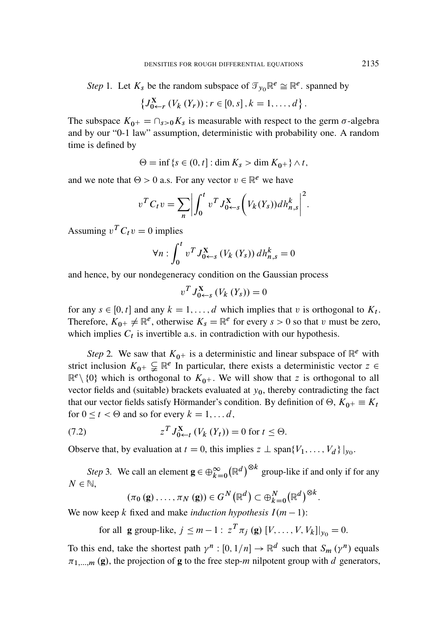*Step* 1. Let  $K_s$  be the random subspace of  $\mathcal{T}_{y_0} \mathbb{R}^e \cong \mathbb{R}^e$ . spanned by

$$
\left\{ J_{0 \leftarrow r}^{X} (V_{k} (Y_{r})); r \in [0, s], k = 1, ..., d \right\}.
$$

The subspace  $K_{0+} = \bigcap_{s>0} K_s$  is measurable with respect to the germ  $\sigma$ -algebra and by our "0-1 law" assumption, deterministic with probability one. A random time is defined by

 $\Theta = \inf \{ s \in (0, t] : \dim K_s > \dim K_{0+} \} \wedge t,$ 

and we note that  $\Theta > 0$  a.s. For any vector  $v \in \mathbb{R}^e$  we have

$$
v^T C_t v = \sum_n \left| \int_0^t v^T J_{0 \leftarrow s}^X \left( V_k(Y_s) \right) dh_{n,s}^k \right|^2.
$$

Assuming  $v^T C_t v = 0$  implies

$$
\forall n: \int_0^t v^T J_{0 \leftarrow s}^X \left( V_k \left( Y_s \right) \right) dh_{n,s}^k = 0
$$

and hence, by our nondegeneracy condition on the Gaussian process

$$
v^T J_{0 \leftarrow s}^{\mathbf{X}} \left( V_k \left( Y_s \right) \right) = 0
$$

for any  $s \in [0, t]$  and any  $k = 1, ..., d$  which implies that v is orthogonal to  $K_t$ . Therefore,  $K_{0+} \neq \mathbb{R}^e$ , otherwise  $K_s = \mathbb{R}^e$  for every  $s > 0$  so that v must be zero, which implies  $C_t$  is invertible a.s. in contradiction with our hypothesis.

*Step* 2. We saw that  $K_{0+}$  is a deterministic and linear subspace of  $\mathbb{R}^e$  with strict inclusion  $K_{0^+} \subsetneq \mathbb{R}^e$  In particular, there exists a deterministic vector  $z \in$  $\mathbb{R}^e \setminus \{0\}$  which is orthogonal to  $K_{0+}$ . We will show that z is orthogonal to all vector fields and (suitable) brackets evaluated at  $y_0$ , thereby contradicting the fact that our vector fields satisfy Hörmander's condition. By definition of  $\Theta$ ,  $K_{0+} \equiv K_t$ for  $0 \le t < \Theta$  and so for every  $k = 1, \dots d$ ,

(7.2) 
$$
z^T J_{0 \leftarrow t}^X (V_k (Y_t)) = 0 \text{ for } t \leq \Theta.
$$

Observe that, by evaluation at  $t = 0$ , this implies  $z \perp \text{span}\{V_1, \ldots, V_d\} |_{y_0}$ .

*Step* 3. We call an element  $\mathbf{g} \in \bigoplus_{k=0}^{\infty} (\mathbb{R}^d)^{\otimes k}$  group-like if and only if for any  $N \in \mathbb{N}$ ,

$$
(\pi_0(\mathbf{g}),\ldots,\pi_N(\mathbf{g}))\in G^N(\mathbb{R}^d)\subset \bigoplus_{k=0}^N(\mathbb{R}^d)^{\otimes k}
$$

:

We now keep k fixed and make *induction hypothesis*  $I(m - 1)$ :

for all **g** group-like,  $j \le m - 1$ :  $z^T \pi_j$  (**g**)  $[V, ..., V, V_k]|_{y_0} = 0$ .

To this end, take the shortest path  $\gamma^n : [0, 1/n] \to \mathbb{R}^d$  such that  $S_m(\gamma^n)$  equals  $\pi_{1, \dots, m}(\mathbf{g})$ , the projection of **g** to the free step-m nilpotent group with d generators,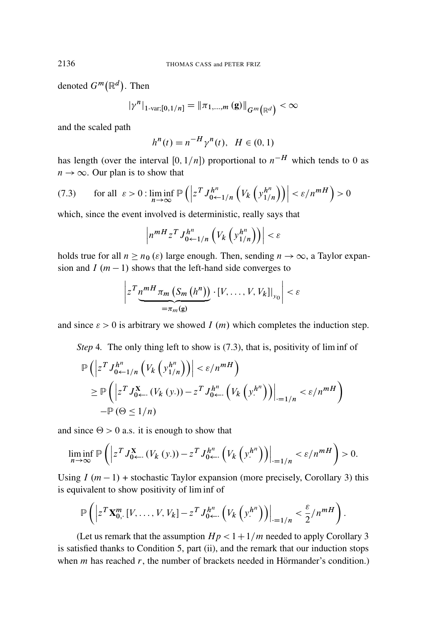denoted  $G^m(\mathbb{R}^d)$ . Then

$$
|\gamma^n|_{1\text{-}\mathrm{var};[0,1/n]}=\|\pi_{1,\ldots,m}\left(\mathbf{g}\right)\|_{G^m\left(\mathbb{R}^d\right)}<\infty
$$

and the scaled path

$$
h^{n}(t) = n^{-H} \gamma^{n}(t), \ \ H \in (0,1)
$$

has length (over the interval [0,  $1/n$ ]) proportional to  $n^{-H}$  which tends to 0 as  $n \to \infty$ . Our plan is to show that

(7.3) for all 
$$
\varepsilon > 0
$$
:  $\liminf_{n \to \infty} \mathbb{P}\left( \left| z^T J_{0 \leftarrow 1/n}^{h^n} \left( V_k \left( y_{1/n}^{h^n} \right) \right) \right| < \varepsilon / n^{mH} \right) > 0$ 

which, since the event involved is deterministic, really says that

$$
\left|n^{mH}z^T J_{0\leftarrow 1/n}^{h^n} \left(V_k\left(y_{1/n}^{h^n}\right)\right)\right| < \varepsilon
$$

holds true for all  $n \ge n_0 (\varepsilon)$  large enough. Then, sending  $n \to \infty$ , a Taylor expansion and I  $(m - 1)$  shows that the left-hand side converges to

$$
\left|z^T \underbrace{n^{mH} \pi_m \left(S_m \left(h^n\right)\right)}_{=\pi_m(g)} \cdot [V, \ldots, V, V_k]|_{y_0}\right| < \varepsilon
$$

and since  $\varepsilon > 0$  is arbitrary we showed I (*m*) which completes the induction step.

*Step* 4. The only thing left to show is (7.3), that is, positivity of lim inf of

$$
\mathbb{P}\left(\left|z^T J_{0 \leftarrow 1/n}^{h^n} \left(V_k \left(y_{1/n}^{h^n}\right)\right)\right| < \varepsilon/n^{mH}\right) \ge \mathbb{P}\left(\left|z^T J_{0 \leftarrow}^X \left(V_k \left(y\right)\right)\right| - z^T J_{0 \leftarrow}^{h^n} \left(V_k \left(y\right)^{h^n}\right)\right|\right)_{\cdot=1/n} < \varepsilon/n^{mH}\right) \quad -\mathbb{P}\left(\Theta \le 1/n\right)
$$

and since  $\Theta > 0$  a.s. it is enough to show that

$$
\liminf_{n \to \infty} \mathbb{P}\left( \left| z^T J^{\mathbf{X}}_{0 \leftarrow \cdot} (V_k(y \cdot)) - z^T J^{h^n}_{0 \leftarrow \cdot} \left( V_k \left( y^h \cdot \right) \right) \right|_{r=1/n} < \varepsilon / n^{mH} \right) > 0.
$$

Using  $I(m - 1)$  + stochastic Taylor expansion (more precisely, Corollary 3) this is equivalent to show positivity of lim inf of

$$
\mathbb{P}\left(\left|z^T\mathbf{X}^m_{0,\cdot}\left[V,\ldots,V,V_k\right]-z^TJ^{h^n}_{0\leftarrow}\left(V_k\left(y^{h^n}\right)\right)\right|_{\cdot=1/n}<\frac{\varepsilon}{2}/n^{mH}\right).
$$

(Let us remark that the assumption  $Hp < 1+1/m$  needed to apply Corollary 3 is satisfied thanks to Condition 5, part (ii), and the remark that our induction stops when  $m$  has reached  $r$ , the number of brackets needed in Hörmander's condition.)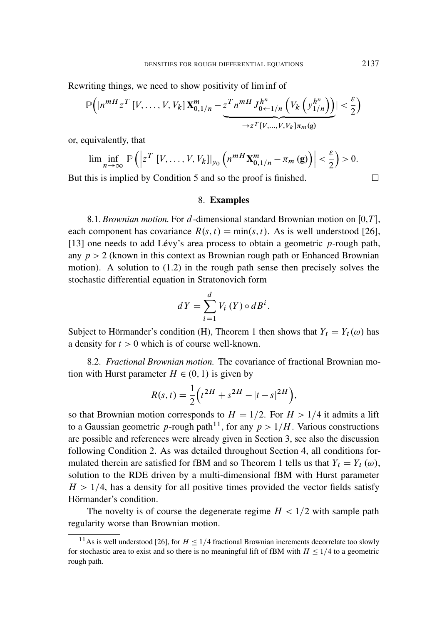Rewriting things, we need to show positivity of lim inf of

$$
\mathbb{P}\Big(\big|n^{mH}z^T\left[V,\ldots,V,V_k\right]\mathbf{X}^m_{0,1/n}-\underbrace{z^T n^{mH}J^{h^n}_{0\leftarrow 1/n}\left(V_k\left(y^{h^n}_{1/n}\right)\right)}_{\rightarrow z^T[V,\ldots,V,V_k]\pi_m(\mathbf{g})}\big|<\frac{\varepsilon}{2}\Big)
$$

or, equivalently, that

$$
\liminf_{n\to\infty}\mathbb{P}\left(\left|z^T\left[V,\ldots,V,V_k\right]\right|_{y_0}\left(n^{mH}X_{0,1/n}^m-\pi_m\left(\mathbf{g}\right)\right)\right|<\frac{\varepsilon}{2}\right)>0.
$$

But this is implied by Condition 5 and so the proof is finished.  $\Box$ 

#### 8. Examples

8.1. *Brownian motion*. For  $d$ -dimensional standard Brownian motion on [0,T], each component has covariance  $R(s, t) = min(s, t)$ . As is well understood [26], [13] one needs to add Lévy's area process to obtain a geometric  $p$ -rough path, any  $p > 2$  (known in this context as Brownian rough path or Enhanced Brownian motion). A solution to (1.2) in the rough path sense then precisely solves the stochastic differential equation in Stratonovich form

$$
dY = \sum_{i=1}^{d} V_i(Y) \circ dB^i.
$$

Subject to Hörmander's condition (H), Theorem 1 then shows that  $Y_t = Y_t(\omega)$  has a density for  $t > 0$  which is of course well-known.

8.2. *Fractional Brownian motion.* The covariance of fractional Brownian motion with Hurst parameter  $H \in (0, 1)$  is given by

$$
R(s,t) = \frac{1}{2} \Big( t^{2H} + s^{2H} - |t - s|^{2H} \Big),
$$

so that Brownian motion corresponds to  $H = 1/2$ . For  $H > 1/4$  it admits a lift to a Gaussian geometric p-rough path<sup>11</sup>, for any  $p > 1/H$ . Various constructions are possible and references were already given in Section 3, see also the discussion following Condition 2. As was detailed throughout Section 4, all conditions formulated therein are satisfied for fBM and so Theorem 1 tells us that  $Y_t = Y_t (\omega)$ , solution to the RDE driven by a multi-dimensional fBM with Hurst parameter  $H > 1/4$ , has a density for all positive times provided the vector fields satisfy Hörmander's condition.

The novelty is of course the degenerate regime  $H < 1/2$  with sample path regularity worse than Brownian motion.

<sup>&</sup>lt;sup>11</sup>As is well understood [26], for  $H \le 1/4$  fractional Brownian increments decorrelate too slowly for stochastic area to exist and so there is no meaningful lift of fBM with  $H \leq 1/4$  to a geometric rough path.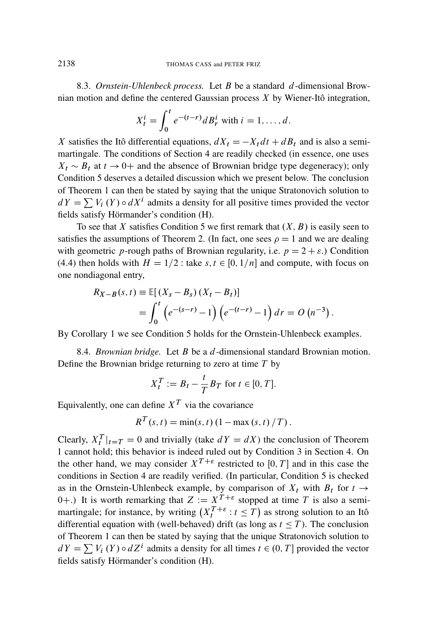8.3. *Ornstein-Uhlenbeck process.* Let B be a standard d-dimensional Brownian motion and define the centered Gaussian process  $X$  by Wiener-Itô integration,

$$
X_t^i = \int_0^t e^{-(t-r)} dB_r^i
$$
 with  $i = 1, ..., d$ .

X satisfies the Itô differential equations,  $dX_t = -X_t dt + dB_t$  and is also a semimartingale. The conditions of Section 4 are readily checked (in essence, one uses  $X_t \sim B_t$  at  $t \to 0+$  and the absence of Brownian bridge type degeneracy); only Condition 5 deserves a detailed discussion which we present below. The conclusion of Theorem 1 can then be stated by saying that the unique Stratonovich solution to  $dY = \sum V_i(Y) \circ dX^i$  admits a density for all positive times provided the vector fields satisfy Hörmander's condition (H).

To see that X satisfies Condition 5 we first remark that  $(X, B)$  is easily seen to satisfies the assumptions of Theorem 2. (In fact, one sees  $\rho = 1$  and we are dealing with geometric p-rough paths of Brownian regularity, i.e.  $p = 2 + \varepsilon$ .) Condition (4.4) then holds with  $H = 1/2$ : take s,  $t \in [0, 1/n]$  and compute, with focus on one nondiagonal entry,

$$
R_{X-B}(s,t) \equiv \mathbb{E}[(X_s - B_s)(X_t - B_t)]
$$
  
= 
$$
\int_0^t (e^{-(s-r)} - 1)(e^{-(t-r)} - 1) dr = O(n^{-3})
$$

:

By Corollary 1 we see Condition 5 holds for the Ornstein-Uhlenbeck examples.

8.4. *Brownian bridge.* Let B be a d-dimensional standard Brownian motion. Define the Brownian bridge returning to zero at time  $T$  by

$$
X_t^T := B_t - \frac{t}{T} B_T \text{ for } t \in [0, T].
$$

Equivalently, one can define  $X<sup>T</sup>$  via the covariance

$$
R^{T}(s, t) = min(s, t) (1 - max(s, t) / T).
$$

Clearly,  $X_t^T|_{t=T} = 0$  and trivially (take  $dY = dX$ ) the conclusion of Theorem 1 cannot hold; this behavior is indeed ruled out by Condition 3 in Section 4. On the other hand, we may consider  $X^{T+\varepsilon}$  restricted to [0, T] and in this case the conditions in Section 4 are readily verified. (In particular, Condition 5 is checked as in the Ornstein-Uhlenbeck example, by comparison of  $X_t$  with  $B_t$  for  $t \rightarrow$ 0+.) It is worth remarking that  $Z := X^T + \varepsilon$  stopped at time T is also a semimartingale; for instance, by writing  $(X_t^{T+\varepsilon}: t \leq T)$  as strong solution to an Itô differential equation with (well-behaved) drift (as long as  $t \leq T$ ). The conclusion of Theorem 1 can then be stated by saying that the unique Stratonovich solution to  $dY = \sum V_i(Y) \circ dZ^i$  admits a density for all times  $t \in (0, T]$  provided the vector fields satisfy Hörmander's condition (H).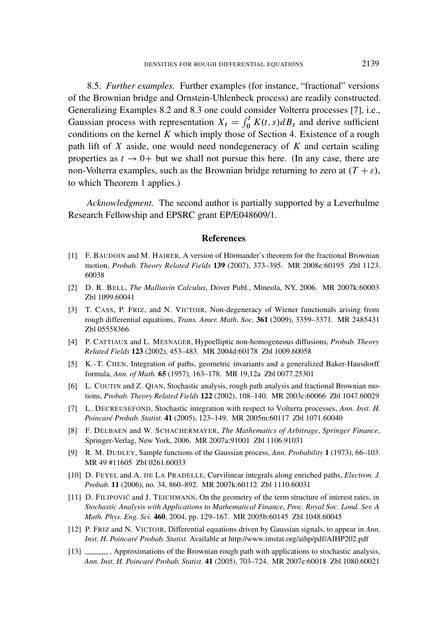8.5. *Further examples.* Further examples (for instance, "fractional" versions of the Brownian bridge and Ornstein-Uhlenbeck process) are readily constructed. Generalizing Examples 8.2 and 8.3 one could consider Volterra processes [7], i.e., Gaussian process with representation  $X_t = \int_0^t K(t,s)dB_s$  and derive sufficient conditions on the kernel K which imply those of Section 4. Existence of a rough path lift of  $X$  aside, one would need nondegeneracy of  $K$  and certain scaling properties as  $t \to 0^+$  but we shall not pursue this here. (In any case, there are non-Volterra examples, such as the Brownian bridge returning to zero at  $(T + \varepsilon)$ , to which Theorem 1 applies.)

*Acknowledgment.* The second author is partially supported by a Leverhulme Research Fellowship and EPSRC grant EP/E048609/1.

#### References

- [1] F. BAUDOIN and M. HAIRER, A version of Hörmander's theorem for the fractional Brownian motion, *Probab. Theory Related Fields* 139 (2007), 373–395. MR 2008e:60195 Zbl 1123. 60038
- [2] D. R. BELL, *The Malliavin Calculus*, Dover Publ., Mineola, NY, 2006. MR 2007k:60003 Zbl 1099.60041
- [3] T. CASS, P. FRIZ, and N. VICTOIR, Non-degeneracy of Wiener functionals arising from rough differential equations, *Trans. Amer. Math. Soc.* 361 (2009), 3359–3371. MR 2485431 Zbl 05558366
- [4] P. CATTIAUX and L. MESNAGER, Hypoelliptic non-homogeneous diffusions, *Probab. Theory Related Fields* 123 (2002), 453–483. MR 2004d:60178 Zbl 1009.60058
- [5] K.-T. CHEN, Integration of paths, geometric invariants and a generalized Baker-Hausdorff formula, *Ann. of Math.* 65 (1957), 163–178. MR 19,12a Zbl 0077.25301
- [6] L. COUTIN and Z. QIAN, Stochastic analysis, rough path analysis and fractional Brownian motions, *Probab. Theory Related Fields* 122 (2002), 108–140. MR 2003c:60066 Zbl 1047.60029
- [7] L. DECREUSEFOND, Stochastic integration with respect to Volterra processes, *Ann. Inst. H. Poincaré Probab. Statist.* 41 (2005), 123–149. MR 2005m:60117 Zbl 1071.60040
- [8] F. DELBAEN and W. SCHACHERMAYER, *The Mathematics of Arbitrage*, *Springer Finance*, Springer-Verlag, New York, 2006. MR 2007a:91001 Zbl 1106.91031
- [9] R. M. DUDLEY, Sample functions of the Gaussian process, *Ann. Probability* 1 (1973), 66–103. MR 49 #11605 Zbl 0261.60033
- [10] D. FEYEL and A. DE LA PRADELLE, Curvilinear integrals along enriched paths, *Electron. J. Probab.* 11 (2006), no. 34, 860–892. MR 2007k:60112 Zbl 1110.60031
- [11] D. FILIPOVIĆ and J. TEICHMANN, On the geometry of the term structure of interest rates, in *Stochastic Analysis with Applications to Mathematical Finance*, *Proc. Royal Soc. Lond. Ser. A Math. Phys. Eng. Sci.* 460, 2004, pp. 129–167. MR 2005b:60145 Zbl 1048.60045
- [12] P. FRIZ and N. VICTOIR, Differential equations driven by Gaussian signals, to appear in *Ann. Inst. H. Poincaré Probab. Statist.* Available at http://www.imstat.org/aihp/pdf/AIHP202.pdf
- [13]  $\_\_\_\$ , Approximations of the Brownian rough path with applications to stochastic analysis, *Ann. Inst. H. Poincaré Probab. Statist.* 41 (2005), 703–724. MR 2007e:60018 Zbl 1080.60021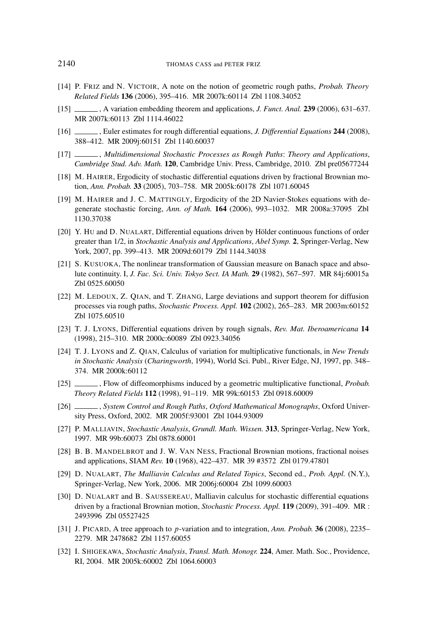- [14] P. FRIZ and N. VICTOIR, A note on the notion of geometric rough paths, *Probab. Theory Related Fields* 136 (2006), 395–416. MR 2007k:60114 Zbl 1108.34052
- [15] , A variation embedding theorem and applications, *J. Funct. Anal.* 239 (2006), 631–637. MR 2007k:60113 Zbl 1114.46022
- [16] , Euler estimates for rough differential equations, *J. Differential Equations* 244 (2008), 388–412. MR 2009j:60151 Zbl 1140.60037
- [17] , *Multidimensional Stochastic Processes as Rough Paths*: *Theory and Applications*, *Cambridge Stud. Adv. Math.* 120, Cambridge Univ. Press, Cambridge, 2010. Zbl pre05677244
- [18] M. HAIRER, Ergodicity of stochastic differential equations driven by fractional Brownian motion, *Ann. Probab.* 33 (2005), 703–758. MR 2005k:60178 Zbl 1071.60045
- [19] M. HAIRER and J. C. MATTINGLY, Ergodicity of the 2D Navier-Stokes equations with degenerate stochastic forcing, *Ann. of Math.* 164 (2006), 993–1032. MR 2008a:37095 Zbl 1130.37038
- [20] Y. HU and D. NUALART, Differential equations driven by Hölder continuous functions of order greater than 1/2, in *Stochastic Analysis and Applications*, *Abel Symp.* 2, Springer-Verlag, New York, 2007, pp. 399–413. MR 2009d:60179 Zbl 1144.34038
- [21] S. KUSUOKA, The nonlinear transformation of Gaussian measure on Banach space and absolute continuity. I, *J. Fac. Sci. Univ. Tokyo Sect. IA Math.* 29 (1982), 567–597. MR 84j:60015a Zbl 0525.60050
- [22] M. LEDOUX, Z. QIAN, and T. ZHANG, Large deviations and support theorem for diffusion processes via rough paths, *Stochastic Process. Appl.* 102 (2002), 265–283. MR 2003m:60152 Zbl 1075.60510
- [23] T. J. LYONS, Differential equations driven by rough signals, *Rev. Mat. Iberoamericana* 14 (1998), 215–310. MR 2000c:60089 Zbl 0923.34056
- [24] T. J. LYONS and Z. QIAN, Calculus of variation for multiplicative functionals, in *New Trends in Stochastic Analysis* (*Charingworth*, 1994), World Sci. Publ., River Edge, NJ, 1997, pp. 348– 374. MR 2000k:60112
- [25] , Flow of diffeomorphisms induced by a geometric multiplicative functional, *Probab. Theory Related Fields* 112 (1998), 91–119. MR 99k:60153 Zbl 0918.60009
- [26] , *System Control and Rough Paths*, *Oxford Mathematical Monographs*, Oxford University Press, Oxford, 2002. MR 2005f:93001 Zbl 1044.93009
- [27] P. MALLIAVIN, *Stochastic Analysis*, *Grundl. Math. Wissen.* 313, Springer-Verlag, New York, 1997. MR 99b:60073 Zbl 0878.60001
- [28] B. B. MANDELBROT and J. W. VAN NESS, Fractional Brownian motions, fractional noises and applications, SIAM *Rev.* 10 (1968), 422–437. MR 39 #3572 Zbl 0179.47801
- [29] D. NUALART, *The Malliavin Calculus and Related Topics*, Second ed., *Prob. Appl.* (N.Y.), Springer-Verlag, New York, 2006. MR 2006j:60004 Zbl 1099.60003
- [30] D. NUALART and B. SAUSSEREAU, Malliavin calculus for stochastic differential equations driven by a fractional Brownian motion, *Stochastic Process. Appl.* 119 (2009), 391–409. MR : 2493996 Zbl 05527425
- [31] J. PICARD, A tree approach to p-variation and to integration, *Ann. Probab.* 36 (2008), 2235– 2279. MR 2478682 Zbl 1157.60055
- [32] I. SHIGEKAWA, *Stochastic Analysis*, *Transl. Math. Monogr.* 224, Amer. Math. Soc., Providence, RI, 2004. MR 2005k:60002 Zbl 1064.60003